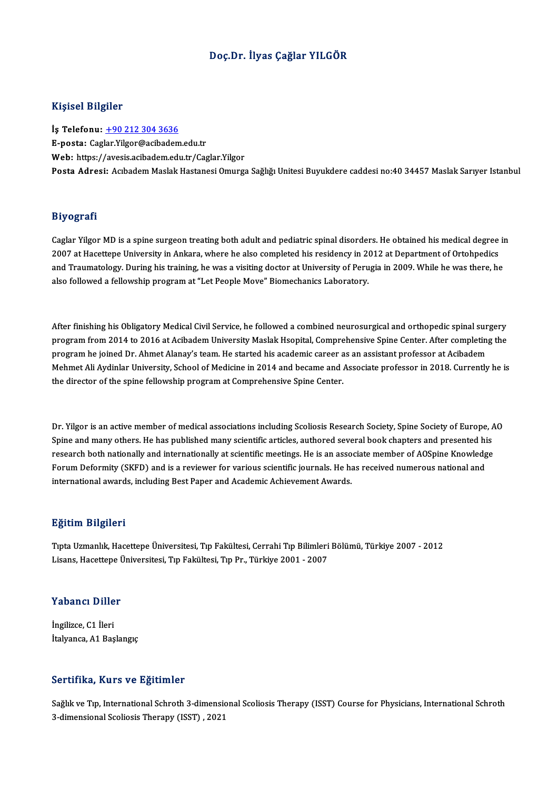#### Doç.Dr. İlyas Çağlar YILGÖR

#### Kişisel Bilgiler

İş Telefonu: +90 212 304 3636 E-posta: Cag[lar.Yilgor@acibadem](tel:+90 212 304 3636).edu.tr Web: https://avesis.acibadem.edu.tr/Caglar.Yilgor Posta Adresi: Acıbadem Maslak Hastanesi Omurga Sağlığı Unitesi Buyukdere caddesi no:40 34457 Maslak Sarıyer Istanbul

#### Biyografi

Biyografi<br>Caglar Yilgor MD is a spine surgeon treating both adult and pediatric spinal disorders. He obtained his medical degree in<br>2007 at Hasettane University in Ankara where he also completed his residency in 2012 at De 21, 081 and<br>Caglar Yilgor MD is a spine surgeon treating both adult and pediatric spinal disorders. He obtained his medical degree<br>2007 at Hacettepe University in Ankara, where he also completed his residency in 2012 at De Caglar Yilgor MD is a spine surgeon treating both adult and pediatric spinal disorders. He obtained his medical degree in<br>2007 at Hacettepe University in Ankara, where he also completed his residency in 2012 at Department 2007 at Hacettepe University in Ankara, where he also completed his residency in 2012 at Department of Ortohpedics<br>and Traumatology. During his training, he was a visiting doctor at University of Perugia in 2009. While he

After finishing his Obligatory Medical Civil Service, he followed a combined neurosurgical and orthopedic spinal surgery<br>Regram from 2014 to 2016 at Asibadom University Meslak Heapital Comprehensive Spine Center, After com After finishing his Obligatory Medical Civil Service, he followed a combined neurosurgical and orthopedic spinal surgery<br>program from 2014 to 2016 at Acibadem University Maslak Hsopital, Comprehensive Spine Center. After c After finishing his Obligatory Medical Civil Service, he followed a combined neurosurgical and orthopedic spinal sur<br>program from 2014 to 2016 at Acibadem University Maslak Hsopital, Comprehensive Spine Center. After compl program from 2014 to 2016 at Acibadem University Maslak Hsopital, Comprehensive Spine Center. After completing the<br>program he joined Dr. Ahmet Alanay's team. He started his academic career as an assistant professor at Acib program he joined Dr. Ahmet Alanay's team. He started his academic career a<br>Mehmet Ali Aydinlar University, School of Medicine in 2014 and became and *l*<br>the director of the spine fellowship program at Comprehensive Spine

Dr. Yilgor is an active member of medical associations including Scoliosis Research Society, Spine Society of Europe, AO<br>Spine and many others. He has published many scientific extigles, authored several book shapters and Dr. Yilgor is an active member of medical associations including Scoliosis Research Society, Spine Society of Europe, A<br>Spine and many others. He has published many scientific articles, authored several book chapters and p Spine and many others. He has published many scientific articles, authored several book chapters and presented his<br>research both nationally and internationally at scientific meetings. He is an associate member of AOSpine K Spine and many others. He has published many scientific articles, authored several book chapters and presented hi<br>research both nationally and internationally at scientific meetings. He is an associate member of AOSpine Kn research both nationally and internationally at scientific meetings. He is an asso<br>Forum Deformity (SKFD) and is a reviewer for various scientific journals. He ha<br>international awards, including Best Paper and Academic Ach international awards, including Best Paper and Academic Achievement Awards.<br>Eğitim Bilgileri

Eğitim Bilgileri<br>Tıpta Uzmanlık, Hacettepe Üniversitesi, Tıp Fakültesi, Cerrahi Tıp Bilimleri Bölümü, Türkiye 2007 - 2012<br>Lisana Hasettana Üniversitesi, Tın Fakültesi, Tın Pr., Türkiye 2001 - 2007 Lisanan Daryaroa<br>Tıpta Uzmanlık, Hacettepe Üniversitesi, Tıp Fakültesi, Cerrahi Tıp Bilimleri<br>Lisans, Hacettepe Üniversitesi, Tıp Fakültesi, Tıp Pr., Türkiye 2001 - 2007

# Lisans, nacettepe t<br>Yabancı Diller

**Yabancı Dille<br>İngilizce, C1 İleri<br>İtalvanca A1 Bas** İngilizce, C1 İleri<br>İtalyanca, A1 Başlangıç

#### Sertifika, Kurs ve Eğitimler

Sağlık ve Tıp, International Schroth 3-dimensional Scoliosis Therapy (ISST) Course for Physicians, International Schroth 3-dimensional Scoliosis Therapy (ISST), 2021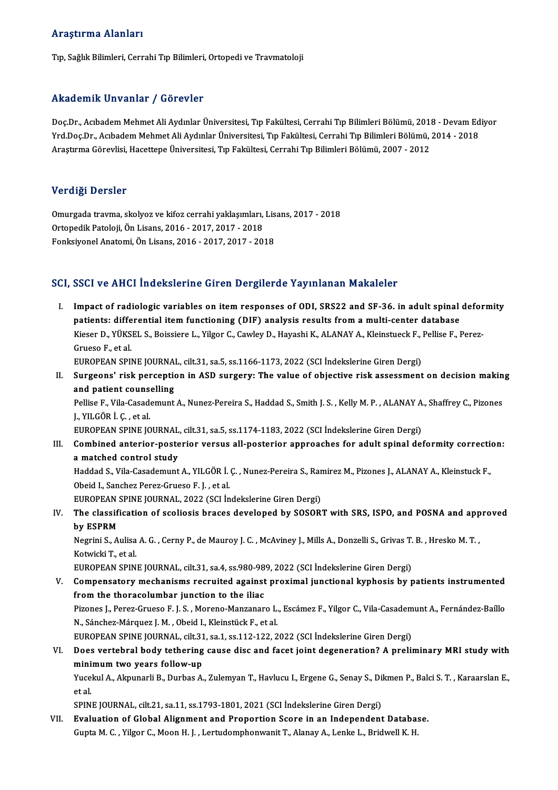#### Araştırma Alanları

Tıp, Sağlık Bilimleri, Cerrahi Tıp Bilimleri, Ortopedi ve Travmatoloji

#### Akademik Unvanlar / Görevler

Akademik Unvanlar / Görevler<br>Doç.Dr., Acıbadem Mehmet Ali Aydınlar Üniversitesi, Tıp Fakültesi, Cerrahi Tıp Bilimleri Bölümü, 2018 - Devam Ediyor<br>Yrd Doc.Dr., Acıbadem Mehmet Ali Aydınlar Üniversitesi, Tıp Fakültesi, Cerra Yrkuu onfine Sirvuniar 7 "u or svisi"<br>Doç.Dr., Acıbadem Mehmet Ali Aydınlar Üniversitesi, Tıp Fakültesi, Cerrahi Tıp Bilimleri Bölümü, 2018 - Devam Ed<br>Arastırma Cörevlisi, Hasettana Üniversitesi, Tın Fakültesi, Cerrahi Tın Doç.Dr., Acıbadem Mehmet Ali Aydınlar Üniversitesi, Tıp Fakültesi, Cerrahi Tıp Bilimleri Bölümü, 2011<br>Yrd.Doç.Dr., Acıbadem Mehmet Ali Aydınlar Üniversitesi, Tıp Fakültesi, Cerrahi Tıp Bilimleri Bölümü,<br>Araştırma Görevlisi Araştırma Görevlisi, Hacettepe Üniversitesi, Tıp Fakültesi, Cerrahi Tıp Bilimleri Bölümü, 2007 - 2012<br>Verdiği Dersler

Verdiği Dersler<br>Omurgada travma, skolyoz ve kifoz cerrahi yaklaşımları, Lisans, 2017 - 2018<br>Ortanedik Peteleji, Ön Lisans, 2016 - 2017, 2017, 2019 Vortuga Borbior<br>Omurgada travma, skolyoz ve kifoz cerrahi yaklaşımları,<br>Ortopedik Patoloji, Ön Lisans, 2016 - 2017, 2017 - 2018<br>Fenksivenal Anatomi, Ön Lisans, 2016 - 2017, 2017, 201 Ortopedik Patoloji, Ön Lisans, 2016 - 2017, 2017 - 2018<br>Fonksiyonel Anatomi, Ön Lisans, 2016 - 2017, 2017 - 2018

#### SCI, SSCI ve AHCI İndekslerine Giren Dergilerde Yayınlanan Makaleler

I. SSCI ve AHCI İndekslerine Giren Dergilerde Yayınlanan Makaleler<br>I. Impact of radiologic variables on item responses of ODI, SRS22 and SF-36. in adult spinal deformity<br>I. Instints: differential item functioning (DIE) ana patients: differential item functioning (DIF) analysis results from a multi-center database<br>patients: differential item functioning (DIF) analysis results from a multi-center database<br>Viecen D, vüycul s, Beissiane L, Vilge Impact of radiologic variables on item responses of ODI, SRS22 and SF-36. in adult spinal defor<br>patients: differential item functioning (DIF) analysis results from a multi-center database<br>Kieser D., YÜKSEL S., Boissiere L. patients: differential item functioning (DIF) analysis results from a multi-center database<br>Kieser D., YÜKSEL S., Boissiere L., Yilgor C., Cawley D., Hayashi K., ALANAY A., Kleinstueck F., Pellise F., Perez-<br>Grueso F., et Kieser D., YÜKSEL S., Boissiere L., Yilgor C., Cawley D., Hayashi K., ALANAY A., Kleinstueck F., J<br>Grueso F., et al.<br>EUROPEAN SPINE JOURNAL, cilt.31, sa.5, ss.1166-1173, 2022 (SCI İndekslerine Giren Dergi)<br>Sungeone', riek Grueso F., et al.<br>EUROPEAN SPINE JOURNAL, cilt.31, sa.5, ss.1166-1173, 2022 (SCI İndekslerine Giren Dergi)<br>II. Surgeons' risk perception in ASD surgery: The value of objective risk assessment on decision making<br>and pat

EUROPEAN SPINE JOURNA<br>Surgeons' risk perception<br>and patient counselling<br>Pellice E. Vile Cesedemunt Surgeons' risk perception in ASD surgery: The value of objective risk assessment on decision makin<br>and patient counselling<br>Pellise F., Vila-Casademunt A., Nunez-Pereira S., Haddad S., Smith J. S. , Kelly M. P. , ALANAY A.,

and patient couns<br>Pellise F., Vila-Casad<br>J., YILGÖR İ. Ç. , et al.<br>EUROPEAN SPINE IC Pellise F., Vila-Casademunt A., Nunez-Pereira S., Haddad S., Smith J. S. , Kelly M. P. , ALANAY A<br>J., YILGÖR İ. Ç. , et al.<br>EUROPEAN SPINE JOURNAL, cilt.31, sa.5, ss.1174-1183, 2022 (SCI İndekslerine Giren Dergi)<br>Cambinad

J., YILGÖR İ. Ç. , et al.<br>EUROPEAN SPINE JOURNAL, cilt.31, sa.5, ss.1174-1183, 2022 (SCI İndekslerine Giren Dergi)<br>III. Combined anterior-posterior versus all-posterior approaches for adult spinal deformity correction: EUROPEAN SPINE JOURNAL, cilt.31, sa.5, ss.1174-1183, 2022 (SCI İndekslerine Giren Dergi)<br>Combined anterior-posterior versus all-posterior approaches for adult spinal de<br>a matched control study Combined anterior-posterior versus all-posterior approaches for adult spinal deformity correction<br>a matched control study<br>Haddad S., Vila-Casademunt A., YILGÖR İ. Ç. , Nunez-Pereira S., Ramirez M., Pizones J., ALANAY A., K

Obeid I., Sanchez Perez-Grueso F. J., et al. Haddad S., Vila-Casademunt A., YILGÖR İ. Ç., Nunez-Pereira S., Ramirez M., Pizones J., ALANAY A., Kleinstuck F.,

Obeid I., Sanchez Perez-Grueso F. J. , et al.<br>EUROPEAN SPINE JOURNAL, 2022 (SCI İndekslerine Giren Dergi)<br>IV. The classification of scoliosis braces developed by SOSORT with SRS, ISPO, and POSNA and approved<br>by ESPPM EUROPEAN SPINE JOURNAL, 2022 (SCI Indekslerine Giren Dergi)<br>The classification of scoliosis braces developed by SOSOR<br>by ESPRM The classification of scoliosis braces developed by SOSORT with SRS, ISPO, and POSNA and app<br>by ESPRM<br>Negrini S., Aulisa A. G. , Cerny P., de Mauroy J. C. , McAviney J., Mills A., Donzelli S., Grivas T. B. , Hresko M. T. ,

**by ESPRM<br>Negrini S., Aulisa<br>Kotwicki T., et al.<br>EUROPEAN SPIN** Negrini S., Aulisa A. G. , Cerny P., de Mauroy J. C. , McAviney J., Mills A., Donzelli S., Grivas T.<br>Kotwicki T., et al.<br>EUROPEAN SPINE JOURNAL, cilt.31, sa.4, ss.980-989, 2022 (SCI İndekslerine Giren Dergi)<br>Componentoru m

- Kotwicki T., et al.<br>EUROPEAN SPINE JOURNAL, cilt.31, sa.4, ss.980-989, 2022 (SCI İndekslerine Giren Dergi)<br>V. Compensatory mechanisms recruited against proximal junctional kyphosis by patients instrumented<br>from the therese EUROPEAN SPINE JOURNAL, cilt.31, sa.4, ss.980-98<br>Compensatory mechanisms recruited against<br>from the thoracolumbar junction to the iliac<br>Pisanes L. Parez Crusse E.J.S. Marene Marsonar Compensatory mechanisms recruited against proximal junctional kyphosis by patients instrumented<br>from the thoracolumbar junction to the iliac<br>Pizones J., Perez-Grueso F. J. S. , Moreno-Manzanaro L., Escámez F., Yilgor C., V from the thoracolumbar junction to the iliac<br>Pizones J., Perez-Grueso F. J. S. , Moreno-Manzanaro L.<br>N., Sánchez-Márquez J. M. , Obeid I., Kleinstück F., et al.<br>EUROPEAN SPINE JOUPMAL , silt 21, so 1, so 1,12,122, 2 Pizones J., Perez-Grueso F. J. S. , Moreno-Manzanaro L., Escámez F., Yilgor C., Vila-Casadem<br>N., Sánchez-Márquez J. M. , Obeid I., Kleinstück F., et al.<br>EUROPEAN SPINE JOURNAL, cilt.31, sa.1, ss.112-122, 2022 (SCI İndeksle N., Sánchez-Márquez J. M. , Obeid I., Kleinstück F., et al.<br>EUROPEAN SPINE JOURNAL, cilt.31, sa.1, ss.112-122, 2022 (SCI İndekslerine Giren Dergi)<br>VI. Does vertebral body tethering cause disc and facet joint degenerati
- EUROPEAN SPINE JOURNAL, cilt.31<br>Does vertebral body tethering<br>minimum two years follow-up<br><sup>Vugolul A</sup> Almungrli B. Durbas A Does vertebral body tethering cause disc and facet joint degeneration? A preliminary MRI study with<br>minimum two years follow-up<br>Yucekul A., Akpunarli B., Durbas A., Zulemyan T., Havlucu I., Ergene G., Senay S., Dikmen P.,

minimum two years follow-up<br>Yucekul A., Akpunarli B., Durbas A., Zulemyan T., Havlucu I., Ergene G., Senay S., Di<br>et al.<br>SPINE JOURNAL, cilt.21, sa.11, ss.1793-1801, 2021 (SCI İndekslerine Giren Dergi) Yucekul A., Akpunarli B., Durbas A., Zulemyan T., Havlucu I., Ergene G., Senay S., Dikmen P., Balci S. T., Karaarslan E.,

VII. Evaluation of Global Alignment and Proportion Score in an Independent Database. Gupta M. C., Yilgor C., Moon H. J., Lertudomphonwanit T., Alanay A., Lenke L., Bridwell K. H.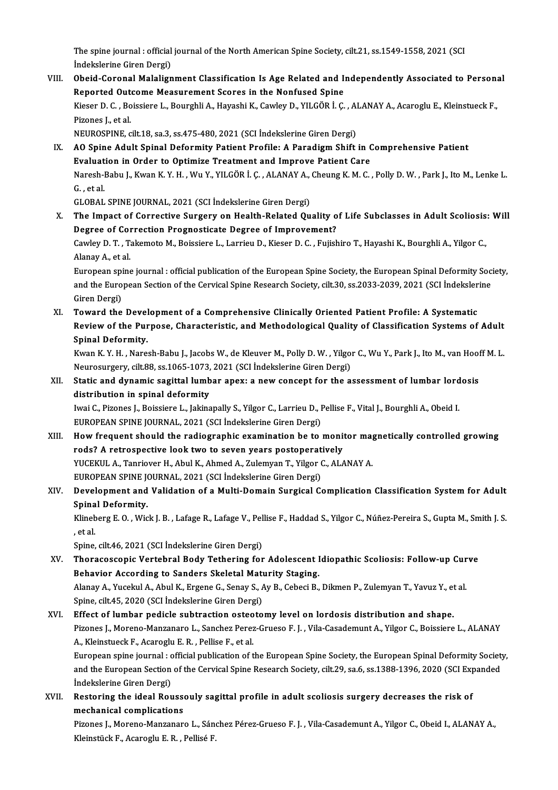The spine journal : official journal of the North American Spine Society, cilt.21, ss.1549-1558, 2021 (SCI<br>Indekslerine Ciren Dergi) The spine journal : official<br>İndekslerine Giren Dergi)<br>Obeid Corenal Malalian

VI I. Obeid-CoronalMalalignment Classification Is Age Related and Independently Associated to Personal Reported Outcome Measurement Scores in the Nonfused Spine Obeid-Coronal Malalignment Classification Is Age Related and Independently Associated to Person:<br>Reported Outcome Measurement Scores in the Nonfused Spine<br>Kieser D. C. , Boissiere L., Bourghli A., Hayashi K., Cawley D., YI Re<mark>ported Out</mark><br>Kieser D. C. , Bo<br>Pizones J., et al.<br>NEUPOSPINE Kieser D. C. , Boissiere L., Bourghli A., Hayashi K., Cawley D., YILGÖR İ. Ç. , Al<br>Pizones J., et al.<br>NEUROSPINE, cilt.18, sa.3, ss.475-480, 2021 (SCI İndekslerine Giren Dergi)<br>A.Q. Spine, Adult Spinel Deformity Bationt Br

NEUROSPINE, cilt.18, sa.3, ss.475-480, 2021 (SCI İndekslerine Giren Dergi)

Pizones J., et al.<br>NEUROSPINE, cilt.18, sa.3, ss.475-480, 2021 (SCI İndekslerine Giren Dergi)<br>IX. AO Spine Adult Spinal Deformity Patient Profile: A Paradigm Shift in Comprehensive Patient<br>Evaluation in Order to Optimi AO Spine Adult Spinal Deformity Patient Profile: A Paradigm Shift in Comprehensive Patient<br>Evaluation in Order to Optimize Treatment and Improve Patient Care<br>Naresh-Babu J., Kwan K.Y. H. , Wu Y., YILGÖR İ. Ç. , ALANAY A., Evaluat<br>Naresh-l<br>G. , et al.<br>CLOPAL Naresh-Babu J., Kwan K. Y. H. , Wu Y., YILGÖR İ. Ç. , ALANAY A.,<br>G. , et al.<br>GLOBAL SPINE JOURNAL, 2021 (SCI İndekslerine Giren Dergi)<br>The Impect of Connective Sungeny op Health Belated Ou

G. , et al.<br>GLOBAL SPINE JOURNAL, 2021 (SCI İndekslerine Giren Dergi)<br>X. The Impact of Corrective Surgery on Health-Related Quality of Life Subclasses in Adult Scoliosis: Will<br>Desnee of Correction Prespectisate Desnee of I GLOBAL SPINE JOURNAL, 2021 (SCI İndekslerine Giren Dergi)<br>The Impact of Corrective Surgery on Health-Related Quality of<br>Degree of Correction Prognosticate Degree of Improvement?<br>Caulau D. T. Takamata M. Baissiara J. Jarrie The Impact of Corrective Surgery on Health-Related Quality of Life Subclasses in Adult Scoliosis<br>Degree of Correction Prognosticate Degree of Improvement?<br>Cawley D. T. , Takemoto M., Boissiere L., Larrieu D., Kieser D. C.

Degree of Col<br>Cawley D. T. , T.<br>Alanay A., et al.<br>European ening Cawley D. T. , Takemoto M., Boissiere L., Larrieu D., Kieser D. C. , Fujishiro T., Hayashi K., Bourghli A., Yilgor C.,<br>Alanay A., et al.<br>European spine journal : official publication of the European Spine Society, the Euro

Alanay A., et al.<br>European spine journal : official publication of the European Spine Society, the European Spinal Deformity Soc<br>and the European Section of the Cervical Spine Research Society, cilt.30, ss.2033-2039, 2021 European spi<br>and the Euro<br>Giren Dergi)<br>Toward the and the European Section of the Cervical Spine Research Society, cilt.30, ss.2033-2039, 2021 (SCI Indeksler<br>Giren Dergi)<br>XI. Toward the Development of a Comprehensive Clinically Oriented Patient Profile: A Systematic<br>Revie

Giren Dergi)<br>Toward the Development of a Comprehensive Clinically Oriented Patient Profile: A Systematic<br>Review of the Purpose, Characteristic, and Methodological Quality of Classification Systems of Adult<br>Spinal Deformity XI. Toward the Development of a Comprehensive Clinically Oriented Patient Profile: A Systematic Review of the Purpose, Characteristic, and Methodological Quality of Classification Systems of Adult<br>Spinal Deformity.<br>Kwan K. Y. H. , Naresh-Babu J., Jacobs W., de Kleuver M., Polly D. W. , Yilgor C., Wu Y., Park J., Ito

Spinal Deformity.<br>Kwan K. Y. H. , Naresh-Babu J., Jacobs W., de Kleuver M., Polly D. W. , Yilgo:<br>Neurosurgery, cilt.88, ss.1065-1073, 2021 (SCI İndekslerine Giren Dergi)<br>Statis and dynamis sagittal lumbar anexy a new sansa Kwan K. Y. H. , Naresh-Babu J., Jacobs W., de Kleuver M., Polly D. W. , Yilgor C., Wu Y., Park J., Ito M., van Hoof<br>Neurosurgery, cilt.88, ss.1065-1073, 2021 (SCI İndekslerine Giren Dergi)<br>XII. Static and dynamic sagittal

Neurosurgery, cilt.88, ss.1065-1073, 2021 (SCI İndekslerine Giren Dergi)<br>Static and dynamic sagittal lumbar apex: a new concept for the assessment of lumbar lordosis<br>distribution in spinal deformity Static and dynamic sagittal lumbar apex: a new concept for the assessment of lumbar lord<br>distribution in spinal deformity<br>Iwai C., Pizones J., Boissiere L., Jakinapally S., Yilgor C., Larrieu D., Pellise F., Vital J., Bour

distribution in spinal deformity<br>Iwai C., Pizones J., Boissiere L., Jakinapally S., Yilgor C., Larrieu D., I<br>EUROPEAN SPINE JOURNAL, 2021 (SCI İndekslerine Giren Dergi)<br>How frequent should the rediographic evemination be t Iwai C., Pizones J., Boissiere L., Jakinapally S., Yilgor C., Larrieu D., Pellise F., Vital J., Bourghli A., Obeid I.<br>EUROPEAN SPINE JOURNAL, 2021 (SCI İndekslerine Giren Dergi)<br>XIII. How frequent should the radiographic e

EUROPEAN SPINE JOURNAL, 2021 (SCI İndekslerine Giren Dergi)<br>How frequent should the radiographic examination be to monit<br>rods? A retrospective look two to seven years postoperatively<br>VICEKUL A Tenrieven H Abul K Abmed A Zu How frequent should the radiographic examination be to monitor may<br>rods? A retrospective look two to seven years postoperatively<br>YUCEKUL A., Tanriover H., Abul K., Ahmed A., Zulemyan T., Yilgor C., ALANAY A.<br>FUROPEAN SPINE rods? A retrospective look two to seven years postoperat<br>YUCEKUL A., Tanriover H., Abul K., Ahmed A., Zulemyan T., Yilgor (<br>EUROPEAN SPINE JOURNAL, 2021 (SCI İndekslerine Giren Dergi)<br>Develenment and Validation of a Multi YUCEKUL A., Tanriover H., Abul K., Ahmed A., Zulemyan T., Yilgor C., ALANAY A.<br>EUROPEAN SPINE JOURNAL, 2021 (SCI İndekslerine Giren Dergi)<br>XIV. Development and Validation of a Multi-Domain Surgical Complication Classificat

## EUROPEAN SPINE JONE<br>Development and<br>Spinal Deformity.<br>Klingborg E.O., Wig Development and Validation of a Multi-Domain Surgical Complication Classification System for Adult<br>Spinal Deformity.<br>Klineberg E. O. , Wick J. B. , Lafage R., Lafage V., Pellise F., Haddad S., Yilgor C., Núñez-Pereira S.,

Spina<br>Klineb<br>, et al. Klineberg E. O. , Wick J. B. , Lafage R., Lafage V., Pel<br>, et al.<br>Spine, cilt.46, 2021 (SCI İndekslerine Giren Dergi)<br>Therasessenis Vertebral Body: Tethering for

- , et al.<br>Spine, cilt.46, 2021 (SCI İndekslerine Giren Dergi)<br>XV. Thoracoscopic Vertebral Body Tethering for Adolescent Idiopathic Scoliosis: Follow-up Curve<br>Rehaviar According to Sandars Skoletal Maturity Staging Spine, cilt.46, 2021 (SCI İndekslerine Giren Dergi)<br>Thoracoscopic Vertebral Body Tethering for Adolescent I<br>Behavior According to Sanders Skeletal Maturity Staging.<br>Alanay A. Yusekul A. Abul K. Frsone C. Sanay S. Ay B. Cob Thoracoscopic Vertebral Body Tethering for Adolescent Idiopathic Scoliosis: Follow-up Cur<br>Behavior According to Sanders Skeletal Maturity Staging.<br>Alanay A., Yucekul A., Abul K., Ergene G., Senay S., Ay B., Cebeci B., Dikm Behavior According to Sanders Skeletal Maturity Staging.<br>Alanay A., Yucekul A., Abul K., Ergene G., Senay S., Ay B., Cebeci B., Dikmen P., Zulemyan T., Yavuz Y., et al.<br>Spine, cilt.45, 2020 (SCI İndekslerine Giren Dergi)
- XVI. Effect of lumbar pedicle subtraction osteotomy level on lordosis distribution and shape. Spine, cilt.45, 2020 (SCI İndekslerine Giren Dergi)<br>Effect of lumbar pedicle subtraction osteotomy level on lordosis distribution and shape.<br>Pizones J., Moreno-Manzanaro L., Sanchez Perez-Grueso F. J. , Vila-Casademunt A., Effect of lumbar pedicle subtraction osteo<br>Pizones J., Moreno-Manzanaro L., Sanchez Perez<br>A., Kleinstueck F., Acaroglu E. R. , Pellise F., et al.<br>Euronean anine journal : official publication of t Pizones J., Moreno-Manzanaro L., Sanchez Perez-Grueso F. J. , Vila-Casademunt A., Yilgor C., Boissiere L., ALANAY<br>A., Kleinstueck F., Acaroglu E. R. , Pellise F., et al.<br>European spine journal : official publication of the A., Kleinstueck F., Acaroglu E. R. , Pellise F., et al.<br>European spine journal : official publication of the European Spine Society, the European Spinal Deformity Society<br>and the European Section of the Cervical Spine Rese European spine journal : c<br>and the European Section<br>Indekslerine Giren Dergi)<br>Bostoring the ideal Boy

and the European Section of the Cervical Spine Research Society, cilt.29, sa.6, ss.1388-1396, 2020 (SCI Exp<br>Indekslerine Giren Dergi)<br>XVII. Restoring the ideal Roussouly sagittal profile in adult scoliosis surgery decrease Indekslerine Giren Dergi)<br>Restoring the ideal Rousse<br>mechanical complications<br><sup>Disones L</sup> Merene Mersener Restoring the ideal Roussouly sagittal profile in adult scoliosis surgery decreases the risk of<br>mechanical complications<br>Pizones J., Moreno-Manzanaro L., Sánchez Pérez-Grueso F. J. , Vila-Casademunt A., Yilgor C., Obeid I.

<mark>mechanical complications</mark><br>Pizones J., Moreno-Manzanaro L., Sán<br>Kleinstück F., Acaroglu E. R. , Pellisé F.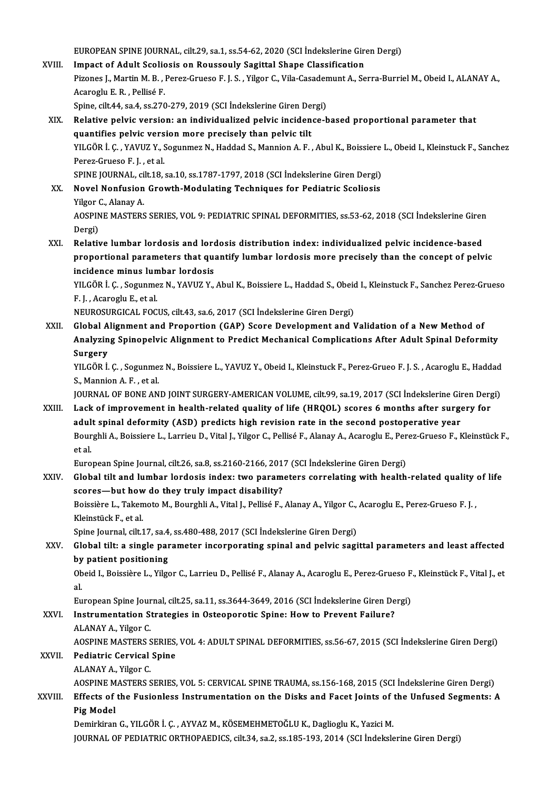EUROPEAN SPINE JOURNAL, cilt.29, sa.1, ss.54-62, 2020 (SCI İndekslerine Giren Dergi)<br>Impact of Adult Scoliesis on Boussouly Segittal Shane Glassification

- EUROPEAN SPINE JOURNAL, cilt.29, sa.1, ss.54-62, 2020 (SCI İndekslerine Gironomic Scoliosis on Roussouly Sagittal Shape Classification Impact of Adult Scoliosis on Roussouly Sagittal Shape Classification<br>Pizones J., Martin M. B. , Perez-Grueso F. J. S. , Yilgor C., Vila-Casademunt A., Serra-Burriel M., Obeid I., ALANAY A., Acaroglu E.R., Pellisé F. Pizones J., Martin M. B. , Perez-Grueso F. J. S. , Yilgor C., Vila-Casader<br>Acaroglu E. R. , Pellisé F.<br>Spine, cilt.44, sa.4, ss.270-279, 2019 (SCI İndekslerine Giren Dergi)<br>Relative pelvis versionuan individualized pelvis
- XIX. Relative pelvic version: an individualized pelvic incidence-based proportional parameter that Spine, cilt.44, sa.4, ss.270-279, 2019 (SCI Indekslerine Giren De<br>Relative pelvic version: an individualized pelvic inciden<br>quantifies pelvic version more precisely than pelvic tilt<br>yu COP L.C., YAVUZ V. Sogunmor N. Haddad YILGÖR İ. Ç. , YAVUZ Y., Sogunmez N., Haddad S., Mannion A. F. , Abul K., Boissiere L., Obeid I., Kleinstuck F., Sanchez<br>Perez-Grueso F. J. , et al. quantifies pelvic version more precisely than pelvic tilt YILGÖR İ. Ç. , YAVUZ Y., Sogunmez N., Haddad S., Mannion A. F. , Abul K., Boissiere<br>Perez-Grueso F. J. , et al.<br>SPINE JOURNAL, cilt.18, sa.10, ss.1787-1797, 2018 (SCI İndekslerine Giren Dergi)<br>Novel Nonfusion Crouth Modula

XX. Novel Nonfusion Growth-Modulating Techniques for Pediatric Scoliosis<br>Yilgor C., Alanay A. SPINE JOURNAL, ci<br>Novel Nonfusion<br>Yilgor C., Alanay A.<br>AOSPINE MASTERS Novel Nonfusion Growth-Modulating Techniques for Pediatric Scoliosis<br>Yilgor C., Alanay A.<br>AOSPINE MASTERS SERIES, VOL 9: PEDIATRIC SPINAL DEFORMITIES, ss.53-62, 2018 (SCI İndekslerine Giren<br>Dergi) Yilgor (<br>AOSPIN<br>Dergi)<br>Pelatir

AOSPINE MASTERS SERIES, VOL 9: PEDIATRIC SPINAL DEFORMITIES, ss.53-62, 2018 (SCI Indekslerine Girer<br>Dergi)<br>XXI. Relative lumbar lordosis and lordosis distribution index: individualized pelvic incidence-based<br>nuclear propor Dergi)<br>Relative lumbar lordosis and lordosis distribution index: individualized pelvic incidence-based<br>proportional parameters that quantify lumbar lordosis more precisely than the concept of pelvic Relative lumbar lordosis and lord<br>proportional parameters that quantidence minus lumbar lordosis<br>vu COP i C. Segunmer N. VAVUZ V incidence minus lumbar lordosis

YILGÖR İ. Ç. , Sogunmez N., YAVUZ Y., Abul K., Boissiere L., Haddad S., Obeid I., Kleinstuck F., Sanchez Perez-Grueso<br>F. J. , Acaroglu E., et al.

NEUROSURGICAL FOCUS, cilt.43, sa.6, 2017 (SCI İndekslerine Giren Dergi)

F. J. , Acaroglu E., et al.<br>NEUROSURGICAL FOCUS, cilt.43, sa.6, 2017 (SCI İndekslerine Giren Dergi)<br>XXII. 6 Global Alignment and Proportion (GAP) Score Development and Validation of a New Method of Aralytic Spinal Deform Analyzing Spinopelvic Alignment to Predict Mechanical Complications After Adult Spinal Deformity<br>Surgery Global A<br>Analyzin<br>Surgery<br><sup>VII CÖD İ</sub></sup> Analyzing Spinopelvic Alignment to Predict Mechanical Complications After Adult Spinal Deformity<br>Surgery<br>YILGÖR İ. Ç. , Sogunmez N., Boissiere L., YAVUZ Y., Obeid I., Kleinstuck F., Perez-Grueo F. J. S. , Acaroglu E., Hadd

S<mark>urgery</mark><br>YILGÖR İ. Ç. , Sogunme<br>S., Mannion A. F. , et al.<br>JOUPNAL OE PONE AN YILGÖR İ. Ç. , Sogunmez N., Boissiere L., YAVUZ Y., Obeid I., Kleinstuck F., Perez-Grueo F. J. S. , Acaroglu E., Haddad<br>S., Mannion A. F. , et al.<br>JOURNAL OF BONE AND JOINT SURGERY-AMERICAN VOLUME, cilt.99, sa.19, 2017 (SC

S., Mannion A. F. , et al.<br>JOURNAL OF BONE AND JOINT SURGERY-AMERICAN VOLUME, cilt.99, sa.19, 2017 (SCI İndekslerine Giren Dergi)<br>XXIII. Lack of improvement in health-related quality of life (HRQOL) scores 6 months aft

adult spinal deformity (ASD) predicts high revision rate in the second postoperative year Lack of improvement in health-related quality of life (HRQOL) scores 6 months after surgery for<br>adult spinal deformity (ASD) predicts high revision rate in the second postoperative year<br>Bourghli A., Boissiere L., Larrieu D <mark>adul</mark><br>Bour<br>et al. Bourghli A., Boissiere L., Larrieu D., Vital J., Yilgor C., Pellisé F., Alanay A., Acaroglu E., Per<br>et al.<br>European Spine Journal, cilt.26, sa.8, ss.2160-2166, 2017 (SCI İndekslerine Giren Dergi)<br>Clabel tilt and Jumber lan

et al.<br>European Spine Journal, cilt.26, sa.8, ss.2160-2166, 2017 (SCI İndekslerine Giren Dergi)<br>XXIV. Global tilt and lumbar lordosis index: two parameters correlating with health-related quality of life<br> European Spine Journal, cilt.26, sa.8, ss.2160-2166, 201<br>Global tilt and lumbar lordosis index: two param<br>scores—but how do they truly impact disability?<br>Boissière J., Tekemete M. Bourskli A. Vital L. Bollieé E. Global tilt and lumbar lordosis index: two parameters correlating with health-related quality<br>scores—but how do they truly impact disability?<br>Boissière L., Takemoto M., Bourghli A., Vital J., Pellisé F., Alanay A., Yilgor

scores—but how<br>Boissière L., Taken<br>Kleinstück F., et al.<br>Snine Jounnal, sik 1 Boissière L., Takemoto M., Bourghli A., Vital J., Pellisé F., Alanay A., Yilgor C.,<br>Kleinstück F., et al.<br>Spine Journal, cilt.17, sa.4, ss.480-488, 2017 (SCI İndekslerine Giren Dergi)<br>Clebel tilti e single peremeter incorp

## Kleinstück F., et al.<br>Spine Journal, cilt.17, sa.4, ss.480-488, 2017 (SCI İndekslerine Giren Dergi)<br>XXV. Global tilt: a single parameter incorporating spinal and pelvic sagittal parameters and least affected<br>hy nationt Spine Journal, cilt.17, sa.4<br>Global tilt: a single par<br>by patient positioning<br>Obaid L. Baissière L. Vilge Global tilt: a single parameter incorporating spinal and pelvic sagittal parameters and least affected<br>by patient positioning<br>Obeid I., Boissière L., Yilgor C., Larrieu D., Pellisé F., Alanay A., Acaroglu E., Perez-Grueso

by<br>Ob<br>al. Obeid I., Boissière L., Yilgor C., Larrieu D., Pellisé F., Alanay A., Acaroglu E., Perez-Grueso F<br>al.<br>European Spine Journal, cilt.25, sa.11, ss.3644-3649, 2016 (SCI İndekslerine Giren Dergi)<br>Instrumentation Strategies in

al.<br>European Spine Journal, cilt.25, sa.11, ss.3644-3649, 2016 (SCI İndekslerine Giren De<br>XXVI. Instrumentation Strategies in Osteoporotic Spine: How to Prevent Failure?<br>ALANAX A. Vilger C European Spine Jour<br>Instrumentation S<br>ALANAY A., Yilgor C.<br>AOSPINE MASTEDS S Instrumentation Strategies in Osteoporotic Spine: How to Prevent Failure?<br>ALANAY A., Yilgor C.<br>AOSPINE MASTERS SERIES, VOL 4: ADULT SPINAL DEFORMITIES, ss.56-67, 2015 (SCI İndekslerine Giren Dergi)<br>Pediatris Cervisel Spine ALANAY A., Yilgor C.<br>AOSPINE MASTERS SERIES,<br>XXVII. Pediatric Cervical Spine<br>ALANAY A., Yilgor C. AOSPINE MASTERS<br>**Pediatric Cervical<br>ALANAY A., Yilgor C.**<br>AOSPINE MASTERS S Pediatric Cervical Spine<br>ALANAY A., Yilgor C.<br>AOSPINE MASTERS SERIES, VOL 5: CERVICAL SPINE TRAUMA, ss.156-168, 2015 (SCI İndekslerine Giren Dergi)<br>Effects of the Eusianless Instrumentation on the Disks and Easet Jeints of

ALANAY A., Yilgor C.<br>AOSPINE MASTERS SERIES, VOL 5: CERVICAL SPINE TRAUMA, ss.156-168, 2015 (SCI İndekslerine Giren Dergi)<br>XXVIII. Effects of the Fusionless Instrumentation on the Disks and Facet Joints of the Unfused Segm AOSPINE M<br><mark>Effects of</mark><br>Pig Model<br><sup>Dominkiran</sub></sup> Effects of the Fusionless Instrumentation on the Disks and Facet Joints of the Model<br>Pig Model<br>Demirkiran G., YILGÖR İ. Ç. , AYVAZ M., KÖSEMEHMETOĞLU K., Daglioglu K., Yazici M.<br>JOUPMAL OF PEDIATRIC OPTHODAEDICS silt 34, 8

Pig Model<br>Demirkiran G., YILGÖR İ. Ç. , AYVAZ M., KÖSEMEHMETOĞLU K., Daglioglu K., Yazici M.<br>JOURNAL OF PEDIATRIC ORTHOPAEDICS, cilt.34, sa.2, ss.185-193, 2014 (SCI İndekslerine Giren Dergi)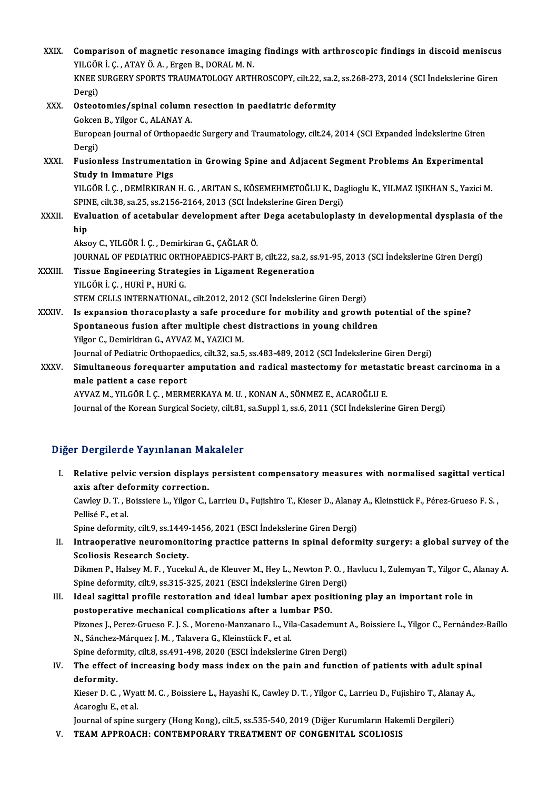| XXIX.   | Comparison of magnetic resonance imaging findings with arthroscopic findings in discoid meniscus<br>YILGÖR İ. Ç., ATAY Ö. A., Ergen B., DORAL M. N. |
|---------|-----------------------------------------------------------------------------------------------------------------------------------------------------|
|         | KNEE SURGERY SPORTS TRAUMATOLOGY ARTHROSCOPY, cilt.22, sa.2, ss.268-273, 2014 (SCI Indekslerine Giren<br>Dergi)                                     |
| XXX.    | Osteotomies/spinal column resection in paediatric deformity                                                                                         |
|         | Gokcen B., Yilgor C., ALANAY A.                                                                                                                     |
|         | European Journal of Orthopaedic Surgery and Traumatology, cilt.24, 2014 (SCI Expanded Indekslerine Giren<br>Dergi)                                  |
| XXXI.   | Fusionless Instrumentation in Growing Spine and Adjacent Segment Problems An Experimental<br><b>Study in Immature Pigs</b>                          |
|         | YILGÖR İ. Ç., DEMİRKIRAN H. G., ARITAN S., KÖSEMEHMETOĞLU K., Daglioglu K., YILMAZ IŞIKHAN S., Yazici M.                                            |
|         | SPINE, cilt.38, sa.25, ss.2156-2164, 2013 (SCI İndekslerine Giren Dergi)                                                                            |
| XXXII.  | Evaluation of acetabular development after Dega acetabuloplasty in developmental dysplasia of the                                                   |
|         | hip                                                                                                                                                 |
|         | Aksoy C., YILGÖR İ. Ç., Demirkiran G., ÇAĞLAR Ö.                                                                                                    |
|         | JOURNAL OF PEDIATRIC ORTHOPAEDICS-PART B, cilt.22, sa.2, ss.91-95, 2013 (SCI Indekslerine Giren Dergi)                                              |
| XXXIII. | Tissue Engineering Strategies in Ligament Regeneration                                                                                              |
|         | YILGÖR İ. Ç., HURİ P., HURİ G.                                                                                                                      |
|         | STEM CELLS INTERNATIONAL, cilt.2012, 2012 (SCI Indekslerine Giren Dergi)                                                                            |
| XXXIV.  | Is expansion thoracoplasty a safe procedure for mobility and growth potential of the spine?                                                         |
|         | Spontaneous fusion after multiple chest distractions in young children                                                                              |
|         | Yilgor C., Demirkiran G., AYVAZ M., YAZICI M.                                                                                                       |
|         | Journal of Pediatric Orthopaedics, cilt.32, sa.5, ss.483-489, 2012 (SCI İndekslerine Giren Dergi)                                                   |
| XXXV.   | Simultaneous forequarter amputation and radical mastectomy for metastatic breast carcinoma in a                                                     |
|         | male patient a case report                                                                                                                          |
|         | AYVAZ M., YILGÖR İ. Ç., MERMERKAYA M. U., KONAN A., SÖNMEZ E., ACAROĞLU E.                                                                          |

Journal of the Korean Surgical Society, cilt.81, sa.Suppl 1, ss.6, 2011 (SCI Indekslerine Giren Dergi)

### Diğer Dergilerde Yayınlanan Makaleler

Iger Dergilerde Yayınlanan Makaleler<br>I. Relative pelvic version displays persistent compensatory measures with normalised sagittal vertical<br>avis after defermity correction r Bergherde Taymandin Tra<br>Relative pelvic version displays<br>axis after deformity correction. Relative pelvic version displays persistent compensatory measures with normalised sagittal vertica<br>axis after deformity correction.<br>Cawley D. T. , Boissiere L., Yilgor C., Larrieu D., Fujishiro T., Kieser D., Alanay A., Kl

axis after def<br>Cawley D. T. , E<br>Pellisé F., et al.<br>Spine defermit Cawley D. T. , Boissiere L., Yilgor C., Larrieu D., Fujishiro T., Kieser D., Alanay<br>Pellisé F., et al.<br>Spine deformity, cilt.9, ss.1449-1456, 2021 (ESCI İndekslerine Giren Dergi)<br>Intreaperative neuromonitaring prestise pat

Pellisé F., et al.<br>Spine deformity, cilt.9, ss.1449-1456, 2021 (ESCI İndekslerine Giren Dergi)<br>II. Intraoperative neuromonitoring practice patterns in spinal deformity surgery: a global survey of the<br>Scoliosis Research Soc Spine deformity, cilt.9, ss.1449<br>Intraoperative neuromonit<br>Scoliosis Research Society.<br>Dilmon B. Halsoy M.E. Yusek Intraoperative neuromonitoring practice patterns in spinal deformity surgery: a global survey of the<br>Scoliosis Research Society.<br>Dikmen P., Halsey M. F. , Yucekul A., de Kleuver M., Hey L., Newton P. O. , Havlucu I., Zulem

Scoliosis Research Society.<br>Dikmen P., Halsey M. F. , Yucekul A., de Kleuver M., Hey L., Newton P. O. , I<br>Spine deformity, cilt.9, ss.315-325, 2021 (ESCI İndekslerine Giren Dergi)<br>Ideal sagittal profile restaration and ide Dikmen P., Halsey M. F. , Yucekul A., de Kleuver M., Hey L., Newton P. O. , Havlucu I., Zulemyan T., Yilgor C., *A*<br>Spine deformity, cilt.9, ss.315-325, 2021 (ESCI Indekslerine Giren Dergi)<br>III. Ideal sagittal profile rest

Spine deformity, cilt.9, ss.315-325, 2021 (ESCI Indekslerine Giren Dergi)<br>III. Ideal sagittal profile restoration and ideal lumbar apex positioning play an important role in<br>postoperative mechanical complications after a l Pizones J.,Perez-Grueso F. J.S. ,Moreno-Manzanaro L.,Vila-CasademuntA.,Boissiere L.,Yilgor C.,Fernández-Baílo N.,Sánchez-Márquez J.M. ,TalaveraG.,KleinstückF.,etal. Pizones J., Perez-Grueso F. J. S. , Moreno-Manzanaro L., Vila-Casademunt<br>N., Sánchez-Márquez J. M. , Talavera G., Kleinstück F., et al.<br>Spine deformity, cilt.8, ss.491-498, 2020 (ESCI İndekslerine Giren Dergi)<br>The effect o

### IV. The effect of increasing body mass index on the pain and function of patients with adult spinal deformity. Spine deform<br>**The effect**<br>**deformity.**<br>*Vigger* D. C. The effect of increasing body mass index on the pain and function of patients with adult spin:<br>deformity.<br>Kieser D. C. , Wyatt M. C. , Boissiere L., Hayashi K., Cawley D. T. , Yilgor C., Larrieu D., Fujishiro T., Alanay A.

defor<mark>mity.</mark><br>Kieser D. C. , Wya<br>Acaroglu E., et al.<br>Journal of opine c Kieser D. C. , Wyatt M. C. , Boissiere L., Hayashi K., Cawley D. T. , Yilgor C., Larrieu D., Fujishiro T., Alana<br>Acaroglu E., et al.<br>Journal of spine surgery (Hong Kong), cilt.5, ss.535-540, 2019 (Diğer Kurumların Hakemli

Acaroglu E., et al.<br>Journal of spine surgery (Hong Kong), cilt.5, ss.535-540, 2019 (Diğer Kurumların Hakemli Dergileri)<br>V. TEAM APPROACH: CONTEMPORARY TREATMENT OF CONGENITAL SCOLIOSIS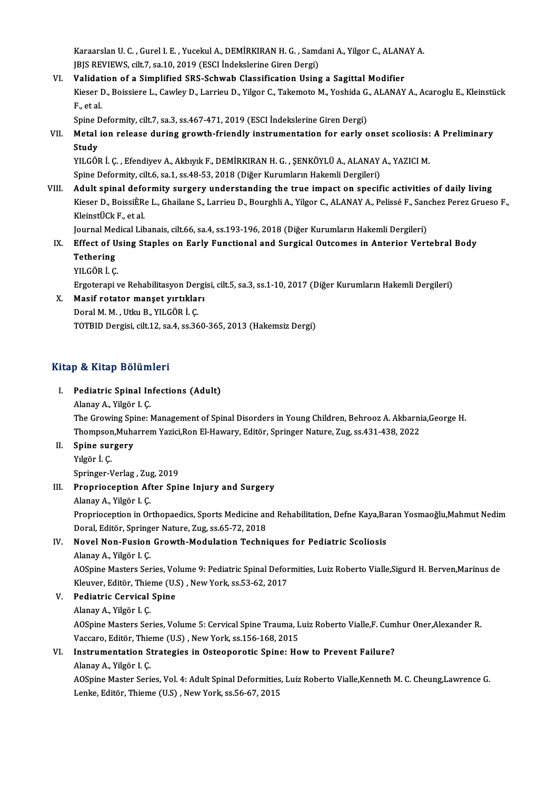Karaarslan U. C. , Gurel I. E. , Yucekul A., DEMİRKIRAN H. G. , Samdani A., Yilgor C., ALANAY A.<br>URE REVIEWS, cilt 7, 82 10, 2019 (ESCI İndekslerine Ciren Dergi) Karaarslan U. C. , Gurel I. E. , Yucekul A., DEMİRKIRAN H. G. , Samc<br>JBJS REVIEWS, cilt.7, sa.10, 2019 (ESCI İndekslerine Giren Dergi)<br>Velidation of a Simplified SBS Seburah Classifisation Heine Karaarslan U. C., Gurel I. E., Yucekul A., DEMİRKIRAN H. G., Samdani A., Yilgor C., ALAN.<br>JBJS REVIEWS, cilt.7, sa.10, 2019 (ESCI İndekslerine Giren Dergi)<br>VI. Validation of a Simplified SRS-Schwab Classification Using a S

JBJS REVIEWS, cilt.7, sa.10, 2019 (ESCI İndekslerine Giren Dergi)<br>Validation of a Simplified SRS-Schwab Classification Using a Sagittal Modifier<br>Kieser D., Boissiere L., Cawley D., Larrieu D., Yilgor C., Takemoto M., Yoshi **Validat<br>Kieser I<br>F., et al.<br>Spine D** Kieser D., Boissiere L., Cawley D., Larrieu D., Yilgor C., Takemoto M., Yoshida G.<br>F., et al.<br>Spine Deformity, cilt.7, sa.3, ss.467-471, 2019 (ESCI İndekslerine Giren Dergi)<br>Metal ion relasse during grouth friendly instrum

F., et al.<br>Spine Deformity, cilt.7, sa.3, ss.467-471, 2019 (ESCI İndekslerine Giren Dergi)<br>VII. Metal ion release during growth-friendly instrumentation for early onset scoliosis: A Preliminary<br>Study Spine I<br><mark>Metal</mark><br>Study<br>vu cön Metal ion release during growth-friendly instrumentation for early onset scoliosis:<br>Study<br>YILGÖR İ. Ç. , Efendiyev A., Akbıyık F., DEMİRKIRAN H. G. , ŞENKÖYLÜ A., ALANAY A., YAZICI M.<br>Snine Defermity silt 6, sa 1, ss 49, 5

Study<br>YILGÖR İ. Ç. , Efendiyev A., Akbıyık F., DEMİRKIRAN H. G. , ŞENKÖYLÜ A., ALANAY A., YAZICI M.<br>Spine Deformity, cilt.6, sa.1, ss.48-53, 2018 (Diğer Kurumların Hakemli Dergileri) VILGÖR İ. Ç. , Efendiyev A., Akbıyık F., DEMİRKIRAN H. G. , ŞENKÖYLÜ A., ALANAY A., YAZICI M.<br>Spine Deformity, cilt.6, sa.1, ss.48-53, 2018 (Diğer Kurumların Hakemli Dergileri)<br>VIII. Adult spinal deformity surgery understa

Spine Deformity, cilt.6, sa.1, ss.48-53, 2018 (Diğer Kurumların Hakemli Dergileri)<br>Adult spinal deformity surgery understanding the true impact on specific activities of daily living<br>Kieser D., BoissiÈRe L., Ghailane S., L **Adult spinal defo<br>Kieser D., BoissiÈRe<br>KleinstÜCk F., et al.<br>Journal Modisal Lib** Kieser D., BoissiÈRe L., Ghailane S., Larrieu D., Bourghli A., Yilgor C., ALANAY A., Pelissé F., San<br>KleinstÜCk F., et al.<br>Journal Medical Libanais, cilt.66, sa.4, ss.193-196, 2018 (Diğer Kurumların Hakemli Dergileri)<br>Effe

KleinstÜCk F., et al.<br>Journal Medical Libanais, cilt.66, sa.4, ss.193-196, 2018 (Diğer Kurumların Hakemli Dergileri)<br>IX. Effect of Using Staples on Early Functional and Surgical Outcomes in Anterior Vertebral Body Journal Med<br><mark>Effect of U</mark><br>Tethering<br>YU CÖP İ C Effect of U:<br>Tethering<br>YILGÖR İ. Ç.<br>Exstereni i Tethering<br>YILGÖR İ. Ç.<br>Ergoterapi ve Rehabilitasyon Dergisi, cilt.5, sa.3, ss.1-10, 2017 (Diğer Kurumların Hakemli Dergileri)

X. Masif rotator manşet yırtıkları DoralM.M. ,UtkuB.,YILGÖRİ.Ç. TOTBID Dergisi, cilt.12, sa.4, ss.360-365, 2013 (Hakemsiz Dergi)

### Kitap & Kitap Bölümleri

Itap & Kitap Bölümleri<br>I. Pediatric Spinal Infections (Adult)<br>Alanay A. Vilgön L.C **Pediatric Spinal In<br>Pediatric Spinal In<br>Alanay A., Yilgör I. Ç.<br>The Crowing Spinal** 

Alanay A., Yilgör I. Ç.<br>The Growing Spine: Management of Spinal Disorders in Young Children, Behrooz A. Akbarnia,George H. Thompson,Muharrem Yazici,Ron El-Hawary, Editör, Springer Nature, Zug, ss.431-438, 2022 The Growing Spi<br>Thompson,Muha<br>II. Spine surgery

Thompson<br>Spine sur<br>Yılgör İ. Ç.<br>Springer L Yılgör İ. Ç.<br>Springer-Verlag , Zug, 2019

Springer-Verlag , Zug<br>**Proprioception Af**<br>Alanay A., Yilgör I. Ç.<br>Proprioception in Op

# Yılgör İ. Ç.<br>Springer-Verlag , Zug, 2019<br>III. Proprioception After Spine Injury and Surgery

Proprioception After Spine Injury and Surgery<br>Alanay A., Yilgör I. Ç.<br>Proprioception in Orthopaedics, Sports Medicine and Rehabilitation, Defne Kaya,Baran Yosmaoğlu,Mahmut Nedim<br>Doral Editën Springer Neture Zug es 65.72.20 Alanay A., Yilgör I. Ç.<br>Proprioception in Orthopaedics, Sports Medicine an<br>Doral, Editör, Springer Nature, Zug, ss.65-72, 2018<br>Navel Non, Eusian Crouth Modulation Techni Proprioception in Orthopaedics, Sports Medicine and Rehabilitation, Defne Kaya,Ba<br>Doral, Editör, Springer Nature, Zug, ss.65-72, 2018<br>IV. Novel Non-Fusion Growth-Modulation Techniques for Pediatric Scoliosis<br>Alanay A. Vilg

## Doral, Editör, Springer Nature, Zug, ss.65-72, 2018<br>IV. Novel Non-Fusion Growth-Modulation Techniques for Pediatric Scoliosis<br>Alanay A., Yilgör I. Ç.

Novel Non-Fusion Growth-Modulation Techniques for Pediatric Scoliosis<br>Alanay A., Yilgör I. Ç.<br>AOSpine Masters Series, Volume 9: Pediatric Spinal Deformities, Luiz Roberto Vialle,Sigurd H. Berven,Marinus de<br>Klauver Editër T Alanay A., Yilgör I. Ç.<br>AOSpine Masters Series, Volume 9: Pediatric Spinal Defor<br>Kleuver, Editör, Thieme (U.S) , New York, ss.53-62, 2017<br>Pediatric Corvicel Spine AOSpine Masters Series, Vo<br>Kleuver, Editör, Thieme (U.S.<br>V. Pediatric Cervical Spine Kleuver, Editör, Thie<br>Pediatric Cervical<br>Alanay A., Yilgör I. Ç.<br>AOSnine Mesters Ser

Pediatric Cervical Spine<br>Alanay A., Yilgör I. Ç.<br>AOSpine Masters Series, Volume 5: Cervical Spine Trauma, Luiz Roberto Vialle,F. Cumhur Oner,Alexander R.<br>Vessare, Editër, Thiome (U.S.), Now York, se 156,169,2015 Alanay A., Yilgör I. Ç.<br>AOSpine Masters Series, Volume 5: Cervical Spine Trauma, L<br>Vaccaro, Editör, Thieme (U.S) , New York, ss.156-168, 2015<br>Instrumentation Strategies in Osteonoratis Spine: Ho AOSpine Masters Series, Volume 5: Cervical Spine Trauma, Luiz Roberto Vialle, F. Cum<br>Vaccaro, Editör, Thieme (U.S) , New York, ss.156-168, 2015<br>VI. Instrumentation Strategies in Osteoporotic Spine: How to Prevent Failure?

# Vaccaro, Editör, Thie<br>Instrumentation S<br>Alanay A., Yilgör I. Ç.<br>AOSnine Mester Seri

Instrumentation Strategies in Osteoporotic Spine: How to Prevent Failure?<br>Alanay A., Yilgör I. Ç.<br>AOSpine Master Series, Vol. 4: Adult Spinal Deformities, Luiz Roberto Vialle,Kenneth M. C. Cheung,Lawrence G.<br>Lanke Editër T Alanay A., Yilgör I. Ç.<br>AOSpine Master Series, Vol. 4: Adult Spinal Deformities<br>Lenke, Editör, Thieme (U.S) , New York, ss.56-67, 2015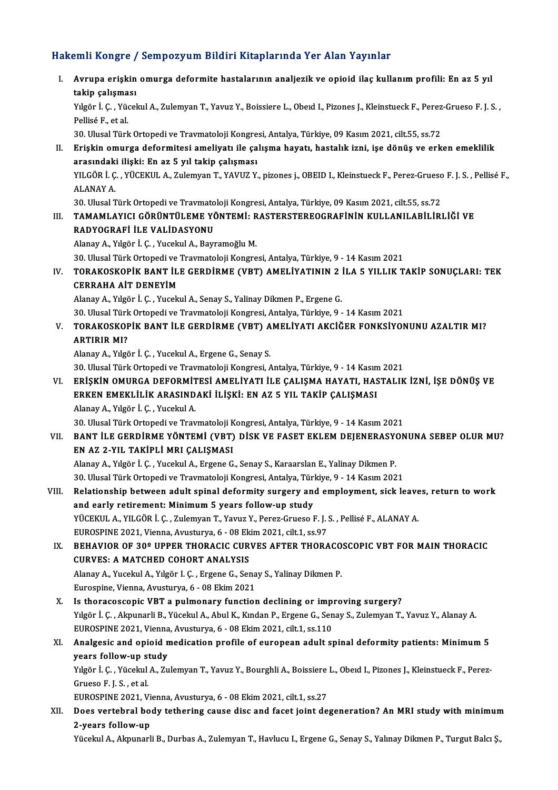### Hakemli Kongre / Sempozyum Bildiri Kitaplarında Yer Alan Yayınlar

akemli Kongre / Sempozyum Bildiri Kitaplarında Yer Alan Yayınlar<br>I. Avrupa erişkin omurga deformite hastalarının analjezik ve opioid ilaç kullanım profili: En az 5 yıl<br>takin salısması sının köngre 7<br>Avrupa erişkin<br>takip çalışması Avrupa erişkin omurga deformite hastalarının analjezik ve opioid ilaç kullanım profili: En az 5 yıl<br>takip çalışması<br>Yılgör İ. Ç. , Yücekul A., Zulemyan T., Yavuz Y., Boissiere L., Obeıd I., Pizones J., Kleinstueck F., Pere <mark>takip çalışma</mark><br>Yılgör İ. Ç. , Yüd<br>Pellisé F., et al.<br>20. Ulusel Türk Yılgör İ. Ç. , Yücekul A., Zulemyan T., Yavuz Y., Boissiere L., Obeıd I., Pizones J., Kleinstueck F., Perez<br>Pellisé F., et al.<br>30. Ulusal Türk Ortopedi ve Travmatoloji Kongresi, Antalya, Türkiye, 09 Kasım 2021, cilt.55, ss Pellisé F., et al.<br>30. Ulusal Türk Ortopedi ve Travmatoloji Kongresi, Antalya, Türkiye, 09 Kasım 2021, cilt.55, ss.72<br>II. Erişkin omurga deformitesi ameliyatı ile çalışma hayatı, hastalık izni, işe dönüş ve erken emekl 30. Ulusal Türk Ortopedi ve Travmatoloji Kongre<br>Erişkin omurga deformitesi ameliyatı ile ça<br>arasındaki ilişki: En az 5 yıl takip çalışması<br>VI GÖP İ.G. YÜGEKUL A Zulamyan T. YAVUZ V Erişkin omurga deformitesi ameliyatı ile çalışma hayatı, hastalık izni, işe dönüş ve erken emeklilik<br>arasındaki ilişki: En az 5 yıl takip çalışması<br>YILGÖR İ. Ç. , YÜCEKUL A., Zulemyan T., YAVUZ Y., pizones j., OBEID I., Kl <mark>arasındak</mark>:<br>YILGÖR İ. Ç<br>ALANAY A. YILGÖR İ. Ç. , YÜCEKUL A., Zulemyan T., YAVUZ Y., pizones j., OBEID I., Kleinstueck F., Perez-Grueso<br>ALANAY A.<br>30. Ulusal Türk Ortopedi ve Travmatoloji Kongresi, Antalya, Türkiye, 09 Kasım 2021, cilt.55, ss.72<br>TAMAMI ANICL ALANAY A.<br>30. Ulusal Türk Ortopedi ve Travmatoloji Kongresi, Antalya, Türkiye, 09 Kasım 2021, cilt.55, ss.72<br>III. TAMAMLAYICI GÖRÜNTÜLEME YÖNTEMİ: RASTERSTEREOGRAFİNİN KULLANILABİLİRLİĞİ VE<br>PADYOCPAEİ İLE VALİDASYONU 30. Ulusal Türk Ortopedi ve Travmatoloji Kongresi, Antalya, Türkiye, 09 Kasım 2021, cilt.55, ss.72<br>TAMAMLAYICI GÖRÜNTÜLEME YÖNTEMİ: RASTERSTEREOGRAFİNİN KULLANILABİLİR<br>RADYOGRAFİ İLE VALİDASYONU<br>Alanay A., Yılgör İ. C. , Y TAMAMLAYICI GÖRÜNTÜLEME YÖNTEMİ: R<br>RADYOGRAFİ İLE VALİDASYONU<br>Alanay A., Yılgör İ. Ç. , Yucekul A., Bayramoğlu M.<br>20 Hlugal Türk Ortonedi ve Traymatalaji Kongre 30.UlusalTürkOrtopediveTravmatolojiKongresi,Antalya,Türkiye,9 -14Kasım2021 Alanay A., Yılgör İ. Ç. , Yucekul A., Bayramoğlu M.<br>30. Ulusal Türk Ortopedi ve Travmatoloji Kongresi, Antalya, Türkiye, 9 - 14 Kasım 2021<br>IV. TORAKOSKOPİK BANT İLE GERDİRME (VBT) AMELİYATININ 2 İLA 5 YILLIK TAKİP SONU 30. Ulusal Türk Ortopedi ve<br>TORAKOSKOPİK BANT İL<br>CERRAHA AİT DENEYİM<br>Alanav A. Yılgön İ. G. Yusala TORAKOSKOPİK BANT İLE GERDİRME (VBT) AMELİYATININ 2<br>CERRAHA AİT DENEYİM<br>Alanay A., Yılgör İ. Ç. , Yucekul A., Senay S., Yalinay Dikmen P., Ergene G.<br>20 Hlucel Türk Ortonedi ve Traumateleji Kongresi, Antalya Türkiye, 9 CERRAHA AİT DENEYİM<br>Alanay A., Yılgör İ. Ç. , Yucekul A., Senay S., Yalinay Dikmen P., Ergene G.<br>30. Ulusal Türk Ortopedi ve Travmatoloji Kongresi, Antalya, Türkiye, 9 - 14 Kasım 2021<br>TORAKOSKORİK RANT İLE CERDIRME (YRT), Alanay A., Yılgör İ. Ç. , Yucekul A., Senay S., Yalinay Dikmen P., Ergene G.<br>30. Ulusal Türk Ortopedi ve Travmatoloji Kongresi, Antalya, Türkiye, 9 - 14 Kasım 2021<br>V. TORAKOSKOPİK BANT İLE GERDİRME (VBT) AMELİYATI AKCİ 30. Ulusal Türk<br>TORAKOSKOF<br>ARTIRIR MI? AlanayA.,Yılgör İ.Ç. ,YucekulA.,ErgeneG.,Senay S. 30.UlusalTürkOrtopediveTravmatolojiKongresi,Antalya,Türkiye,9 -14Kasım2021 VI. ERİŞKİN OMURGA DEFORMİTESİ AMELİYATI İLE ÇALIŞMA HAYATI, HASTALIK İZNİ, İŞE DÖNÜŞ VE 30. Ulusal Türk Ortopedi ve Travmatoloji Kongresi, Antalya, Türkiye, 9 - 14 Kasın<br>ERİŞKİN OMURGA DEFORMİTESİ AMELİYATI İLE ÇALIŞMA HAYATI, HAS<br>ERKEN EMEKLİLİK ARASINDAKİ İLİŞKİ: EN AZ 5 YIL TAKİP ÇALIŞMASI<br>Alanay A. Yılgör ERİŞKİN OMURGA DEFORMİT<br>ERKEN EMEKLİLİK ARASIND<br>Alanay A., Yılgör İ. Ç. , Yucekul A.<br>20. Ulyeal Türk Ortanedi ve Tray Alanay A., Yılgör İ. Ç. , Yucekul A.<br>30. Ulusal Türk Ortopedi ve Travmatoloji Kongresi, Antalya, Türkiye, 9 - 14 Kasım 2021 Alanay A., Yılgör İ. Ç. , Yucekul A.<br>30. Ulusal Türk Ortopedi ve Travmatoloji Kongresi, Antalya, Türkiye, 9 - 14 Kasım 2021<br>VII. BANT İLE GERDİRME YÖNTEMİ (VBT) DİSK VE FASET EKLEM DEJENERASYONUNA SEBEP OLUR MU?<br>FN AZ 30. Ulusal Türk Ortopedi ve Travmatoloji K<br>BANT İLE GERDİRME YÖNTEMİ (VBT)<br>EN AZ 2-YIL TAKİPLİ MRI ÇALIŞMASI<br>Alanav A. Yılgör İ.G. Yuselnıl A. Ergene G BANT İLE GERDİRME YÖNTEMİ (VBT) DİSK VE FASET EKLEM DEJENERASY<br>EN AZ 2-YIL TAKİPLİ MRI ÇALIŞMASI<br>Alanay A., Yılgör İ. Ç. , Yucekul A., Ergene G., Senay S., Karaarslan E., Yalinay Dikmen P.<br>20 Ulucal Türk Ortopedi ve Trayma 50. EN AZ 2-YIL TAKİPLİ MRI ÇALIŞMASI<br>30. Ulusal Türk Ortopedi ve Travmatoloji Kongresi, Antalya, Türkiye, 9 - 14 Kasım 2021<br>30. Ulusal Türk Ortopedi ve Travmatoloji Kongresi, Antalya, Türkiye, 9 - 14 Kasım 2021 Alanay A., Yılgör İ. Ç. , Yucekul A., Ergene G., Senay S., Karaarslan E., Yalinay Dikmen P.<br>30. Ulusal Türk Ortopedi ve Travmatoloji Kongresi, Antalya, Türkiye, 9 - 14 Kasım 2021<br>VIII. Relationship between adult spinal def 30. Ulusal Türk Ortopedi ve Travmatoloji Kongresi, Antalya, Türi<br>Relationship between adult spinal deformity surgery and<br>and early retirement: Minimum 5 years follow-up study<br>Vücekuu A, Vu CÖB İ, C. Zulemyan T, Yayuz V, Ba Relationship between adult spinal deformity surgery and employment, sick leave<br>and early retirement: Minimum 5 years follow-up study<br>YÜCEKUL A., YILGÖR İ. Ç. , Zulemyan T., Yavuz Y., Perez-Grueso F. J. S. , Pellisé F., ALA and early retirement: Minimum 5 years follow-up study<br>YÜCEKUL A., YILGÖR İ. C. , Zulemyan T., Yavuz Y., Perez-Grueso F. J. S. , Pellisé F., ALANAY A. YÜCEKUL A., YILGÖR İ. Ç. , Zulemyan T., Yavuz Y., Perez-Grueso F. J. S. , Pellisé F., ALANAY A.<br>EUROSPINE 2021, Vienna, Avusturya, 6 - 08 Ekim 2021, cilt.1, ss.97<br>IX. BEHAVIOR OF 30º UPPER THORACIC CURVES AFTER THORACOSCOP EUROSPINE 2021, Vienna, Avusturya, 6 - 08 Ekim 2021, cilt.1, ss.97<br>BEHAVIOR OF 30º UPPER THORACIC CURVES AFTER THORACO:<br>CURVES: A MATCHED COHORT ANALYSIS<br>Alanay A., Yucekul A., Yılgör I. C., Ergene G., Senay S., Yalinay Di BEHAVIOR OF 30º UPPER THORACIC CURVES AFTER THORACO<br>CURVES: A MATCHED COHORT ANALYSIS<br>Alanay A., Yucekul A., Yılgör I. Ç. , Ergene G., Senay S., Yalinay Dikmen P.<br>Eurospine Vienne, Ameturus, 6, 09 Ekim 2021 Eurospine, Vienna, Avusturya, 6 - 08 Ekim 2021 X. Is thoracoscopic VBT a pulmonary function declining or improving surgery? Eurospine, Vienna, Avusturya, 6 - 08 Ekim 2021<br>Is thoracoscopic VBT a pulmonary function declining or improving surgery?<br>Yılgör İ. Ç. , Akpunarli B., Yücekul A., Abul K., Kından P., Ergene G., Senay S., Zulemyan T., Yavuz Is thoracoscopic VBT a pulmonary function declining or impieral of the Vilgör I. Ç. , Akpunarli B., Yücekul A., Abul K., Kından P., Ergene G., Sen<br>EUROSPINE 2021, Vienna, Avusturya, 6 - 08 Ekim 2021, cilt.1, ss.110<br>Analges Yılgör İ. Ç. , Akpunarli B., Yücekul A., Abul K., Kından P., Ergene G., Senay S., Zulemyan T., Yavuz Y., Alanay A.<br>EUROSPINE 2021, Vienna, Avusturya, 6 - 08 Ekim 2021, cilt.1, ss.110<br>XI. Analgesic and opioid medication pro EUROSPINE 2021, Vienna, Avusturya, 6 - 08 Ekim 2021, cilt.1, ss.110<br>Analgesic and opioid medication profile of european adult spinal deformity patients: Minimum 5 Analgesic and opioid medication profile of european adult spinal deformity patients: Minimum 5<br>years follow-up study<br>Yılgör İ. Ç. , Yücekul A., Zulemyan T., Yavuz Y., Bourghli A., Boissiere L., Obeıd I., Pizones J., Kleins years follow-up study<br>Yılgör İ. Ç. , Yücekul A., Zulemyan T., Yavuz Y., Bourghli A., Boissiere<br>Grueso F. J. S. , et al.<br>EUROSPINE 2021, Vienna, Avusturya, 6 - 08 Ekim 2021, cilt.1, ss.27 Yılgör İ. Ç. , Yücekul A., Zulemyan T., Yavuz Y., Bourghli A., Boissiere<br>Grueso F. J. S. , et al.<br>EUROSPINE 2021, Vienna, Avusturya, 6 - 08 Ekim 2021, cilt.1, ss.27<br>Does vertebrel body tetbering sause dise and foest joint Grueso F. J. S. , et al.<br>EUROSPINE 2021, Vienna, Avusturya, 6 - 08 Ekim 2021, cilt.1, ss.27<br>XII. Does vertebral body tethering cause disc and facet joint degeneration? An MRI study with minimum<br>2 vears follow un EUROSPINE 2021, Vi<br>Does vertebral bo<br>2-years follow-up<br><sup>Vücelni</sup> A. Almunar Does vertebral body tethering cause disc and facet joint degeneration? An MRI study with minimum<br>2-years follow-up<br>Yücekul A., Akpunarli B., Durbas A., Zulemyan T., Havlucu I., Ergene G., Senay S., Yalınay Dikmen P., Turgu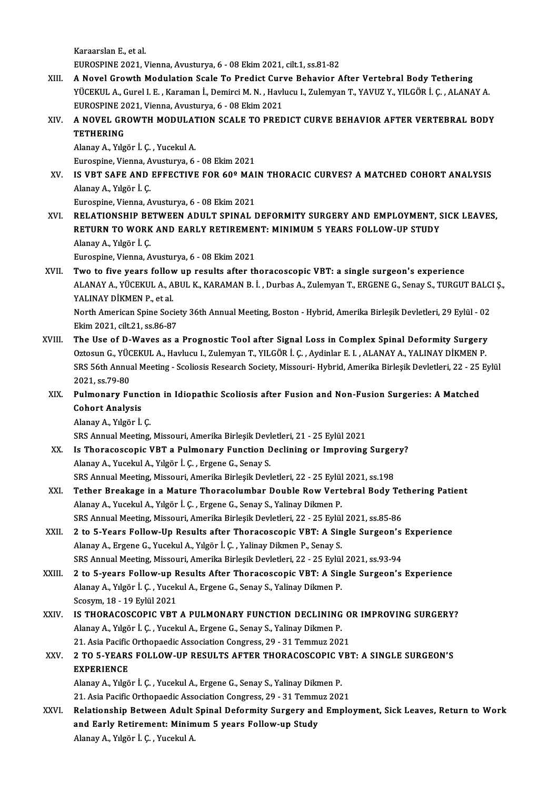KaraarslanE.,etal.

EUROSPINE2021,Vienna,Avusturya,6 -08Ekim2021, cilt.1, ss.81-82

- XIII. A Novel Growth Modulation Scale To Predict Curve Behavior After Vertebral Body Tethering EUROSPINE 2021, Vienna, Avusturya, 6 - 08 Ekim 2021, cilt.1, ss.81-82<br>A Novel Growth Modulation Scale To Predict Curve Behavior After Vertebral Body Tethering<br>YÜCEKUL A., Gurel I. E. , Karaman İ., Demirci M. N. , Havlucu I A Novel Growth Modulation Scale To Predict Curv<br>YÜCEKUL A., Gurel I. E. , Karaman İ., Demirci M. N. , Havlı<br>EUROSPINE 2021, Vienna, Avusturya, 6 - 08 Ekim 2021<br>A NOVEL CROWTH MODIU ATION SCALE TO PRED YÜCEKUL A., Gurel I. E. , Karaman İ., Demirci M. N. , Havlucu I., Zulemyan T., YAVUZ Y., YILGÖR İ. Ç. , ALANAY A.<br>EUROSPINE 2021, Vienna, Avusturya, 6 - 08 Ekim 2021<br>XIV. A NOVEL GROWTH MODULATION SCALE TO PREDICT CURV
- EUROSPINE 2021, Vienna, Avusturya, 6 08 Ekim 2021<br>A NOVEL GROWTH MODULATION SCALE TO PREI<br>TETHERING<br>Alanay A., Yılgör İ. Ç. , Yucekul A. A NOVEL GROWTH MODULAT<br>TETHERING<br>Alanay A., Yılgör İ. Ç. , Yucekul A.<br>Eurosnino Vienna, Arusturya, é.

Eurospine, Vienna, Avusturya, 6 - 08 Ekim 2021

Alanay A., Yılgör İ. Ç. , Yucekul A.<br>Eurospine, Vienna, Avusturya, 6 - 08 Ekim 2021<br>XV. IS VBT SAFE AND EFFECTIVE FOR 60º MAIN THORACIC CURVES? A MATCHED COHORT ANALYSIS<br>Alanay A. Yılgör İ. C Eurospine, Vienna, A<br>**IS VBT SAFE AND**<br>Alanay A., Yılgör İ. Ç.<br>Eurospine Vienna, A **IS VBT SAFE AND EFFECTIVE FOR 60º MAI<br>Alanay A., Yılgör İ. Ç.<br>Eurospine, Vienna, Avusturya, 6 - 08 Ekim 2021**<br>PELATIONSHIP PETWEEN ADIJI T SPINAL I Alanay A., Yılgör İ. Ç.<br>Eurospine, Vienna, Avusturya, 6 - 08 Ekim 2021<br>XVI. RELATIONSHIP BETWEEN ADULT SPINAL DEFORMITY SURGERY AND EMPLOYMENT, SICK LEAVES,

Eurospine, Vienna, Avusturya, 6 - 08 Ekim 2021<br>RELATIONSHIP BETWEEN ADULT SPINAL DEFORMITY SURGERY AND EMPLOYMENT, S<br>RETURN TO WORK AND EARLY RETIREMENT: MINIMUM 5 YEARS FOLLOW-UP STUDY<br>Alansy A. Yulgën I. C RELATIONSHIP BE<br>RETURN TO WORK<br>Alanay A., Yılgör İ. Ç.<br>Eurospine Vienne A RETURN TO WORK AND EARLY RETIREMEN<br>Alanay A., Yılgör İ. Ç.<br>Eurospine, Vienna, Avusturya, 6 - 08 Ekim 2021<br>Two to five years follow un results after th Alanay A., Yılgör İ. Ç.<br>Eurospine, Vienna, Avusturya, 6 - 08 Ekim 2021<br>XVII. Two to five years follow up results after thoracoscopic VBT: a single surgeon's experience

Eurospine, Vienna, Avusturya, 6 - 08 Ekim 2021<br>Two to five years follow up results after thoracoscopic VBT: a single surgeon's experience<br>ALANAY A., YÜCEKUL A., ABUL K., KARAMAN B. İ. , Durbas A., Zulemyan T., ERGENE G., S **Two to five years follov<br>ALANAY A., YÜCEKUL A., A<br>YALINAY DİKMEN P., et al.**<br>Narth American Snine Soci ALANAY A., YÜCEKUL A., ABUL K., KARAMAN B. İ. , Durbas A., Zulemyan T., ERGENE G., Senay S., TURGUT BALC.<br>YALINAY DİKMEN P., et al.<br>North American Spine Society 36th Annual Meeting, Boston - Hybrid, Amerika Birleşik Devlet

YALINAY DİKMEN P., et al.<br>North American Spine Society 36th Annual Meeting, Boston - Hybrid, Amerika Birleşik Devletleri, 29 Eylül - 02<br>Ekim 2021. cilt.21. ss.86-87

- XVIII. The Use of D-Waves as a Prognostic Tool after Signal Loss in Complex Spinal Deformity Surgery Ekim 2021, cilt.21, ss.86-87<br>The Use of D-Waves as a Prognostic Tool after Signal Loss in Complex Spinal Deformity Surgery<br>Oztosun G., YÜCEKUL A., Havlucu I., Zulemyan T., YILGÖR İ. Ç. , Aydinlar E. I. , ALANAY A., YALINAY The Use of D-Waves as a Prognostic Tool after Signal Loss in Complex Spinal Deformity Surgery<br>Oztosun G., YÜCEKUL A., Havlucu I., Zulemyan T., YILGÖR İ. Ç. , Aydinlar E. I. , ALANAY A., YALINAY DİKMEN P.<br>SRS 56th Annual Me Oztosun G., YÜC<br>SRS 56th Annua<br>2021, ss.79-80<br>Bulmonory, Eu SRS 56th Annual Meeting - Scoliosis Research Society, Missouri- Hybrid, Amerika Birleşik Devletleri, 22 - 25<br>2021, ss.79-80<br>XIX. Pulmonary Function in Idiopathic Scoliosis after Fusion and Non-Fusion Surgeries: A Matched<br>C
	- 2021, ss.79-80<br>Pulmonary Func<br>Cohort Analysis<br>Alanay A. Vilgën İ. Pulmonary Functio<br>Cohort Analysis<br>Alanay A., Yılgör İ. Ç.<br>SPS Annuel Mesting Cohort Analysis<br>Alanay A., Yılgör İ. Ç.<br>SRS Annual Meeting, Missouri, Amerika Birleşik Devletleri, 21 - 25 Eylül 2021<br>Is Theresessonia VBT a Bulmonoru Eunstion Deslining en Impreving

- Alanay A., Yılgör İ. Ç.<br>SRS Annual Meeting, Missouri, Amerika Birleşik Devletleri, 21 25 Eylül 2021<br>XX. Is Thoracoscopic VBT a Pulmonary Function Declining or Improving Surgery?<br>Alanay A., Yucekul A., Yılgör İ. Ç. , Erge SRS Annual Meeting, Missouri, Amerika Birleşik Devl<br>Is Thoracoscopic VBT a Pulmonary Function D<br>Alanay A., Yucekul A., Yılgör İ. Ç. , Ergene G., Senay S.<br>SPS Annual Meeting Missouri Amerika Birleşik Devl SRS Annual Meeting, Missouri, Amerika Birleşik Devletleri, 22 - 25 Eylül 2021, ss.198
- Alanay A., Yucekul A., Yılgör İ. Ç. , Ergene G., Senay S.<br>SRS Annual Meeting, Missouri, Amerika Birleşik Devletleri, 22 25 Eylül 2021, ss.198<br>XXI. Tether Breakage in a Mature Thoracolumbar Double Row Vertebral Body T Alanay A., Yucekul A., Yılgör İ. Ç. , Ergene G., Senay S., Yalinay Dikmen P. Tether Breakage in a Mature Thoracolumbar Double Row Vertebral Body Tet<br>Alanay A., Yucekul A., Yılgör İ. Ç. , Ergene G., Senay S., Yalinay Dikmen P.<br>SRS Annual Meeting, Missouri, Amerika Birleşik Devletleri, 22 - 25 Eylül SRS Annual Meeting, Missouri, Amerika Birleşik Devletleri, 22 - 25 Eylül 2021, ss.85-86
- XXII. 2 to 5-Years Follow-Up Results after Thoracoscopic VBT: A Single Surgeon's Experience<br>Alanay A., Ergene G., Yucekul A., Yılgör İ. Ç., Yalinay Dikmen P., Senay S. 2 to 5-Years Follow-Up Results after Thoracoscopic VBT: A Single Surgeon's<br>Alanay A., Ergene G., Yucekul A., Yılgör İ. Ç. , Yalinay Dikmen P., Senay S.<br>SRS Annual Meeting, Missouri, Amerika Birleşik Devletleri, 22 - 25 Eyl Alanay A., Ergene G., Yucekul A., Yılgör İ. Ç. , Yalinay Dikmen P., Senay S.<br>SRS Annual Meeting, Missouri, Amerika Birleşik Devletleri, 22 - 25 Eylül 2021, ss.93-94<br>XXIII. 2 to 5-years Follow-up Results After Thoracoscopic
- SRS Annual Meeting, Missouri, Amerika Birleşik Devletleri, 22 25 Eylül<br>2 to 5-years Follow-up Results After Thoracoscopic VBT: A Sin<br>Alanay A., Yılgör İ. Ç. , Yucekul A., Ergene G., Senay S., Yalinay Dikmen P.<br>Senay 19 -2 to 5-years Follow-up R<br>Alanay A., Yılgör İ. Ç. , Yucek<br>Scosym, 18 - 19 Eylül 2021<br>IS THORACOSCORIC VET Alanay A., Yılgör İ. Ç. , Yucekul A., Ergene G., Senay S., Yalinay Dikmen P.<br>Scosym, 18 - 19 Eylül 2021<br>XXIV. IS THORACOSCOPIC VBT A PULMONARY FUNCTION DECLINING OR IMPROVING SURGERY?
- AlanayA.,Yılgör İ.Ç. ,YucekulA.,ErgeneG.,Senay S.,YalinayDikmenP. IS THORACOSCOPIC VBT A PULMONARY FUNCTION DECLINING O<br>Alanay A., Yılgör İ. Ç. , Yucekul A., Ergene G., Senay S., Yalinay Dikmen P.<br>21. Asia Pacific Orthopaedic Association Congress, 29 - 31 Temmuz 2021<br>2.TO E. YEARS FOLLOW

## XXV. 2 TO 5-YEARS FOLLOW-UP RESULTS AFTER THORACOSCOPIC VBT: A SINGLE SURGEON'S<br>EXPERIENCE 21. Asia Pacific<br>2 TO 5-YEARS<br>EXPERIENCE

- AlanayA.,Yılgör İ.Ç. ,YucekulA.,ErgeneG.,Senay S.,YalinayDikmenP. EXPERIENCE<br>Alanay A., Yılgör İ. Ç. , Yucekul A., Ergene G., Senay S., Yalinay Dikmen P.<br>21. Asia Pacific Orthopaedic Association Congress, 29 - 31 Temmuz 2021<br>Pelationabin Betusen, Adult Spinel Deformity Sungeny and Emple
- XXVI. Relationship Between Adult Spinal Deformity Surgery and Employment, Sick Leaves, Return to Work<br>and Early Retirement: Minimum 5 years Follow-up Study 21. Asia Pacific Orthopaedic Association Congress, 29 - 31 Temmu<br>Relationship Between Adult Spinal Deformity Surgery and<br>and Early Retirement: Minimum 5 years Follow-up Study<br>Alanay A. Vugân I. G. Vugalul A AlanayA.,Yılgör İ.Ç. ,YucekulA.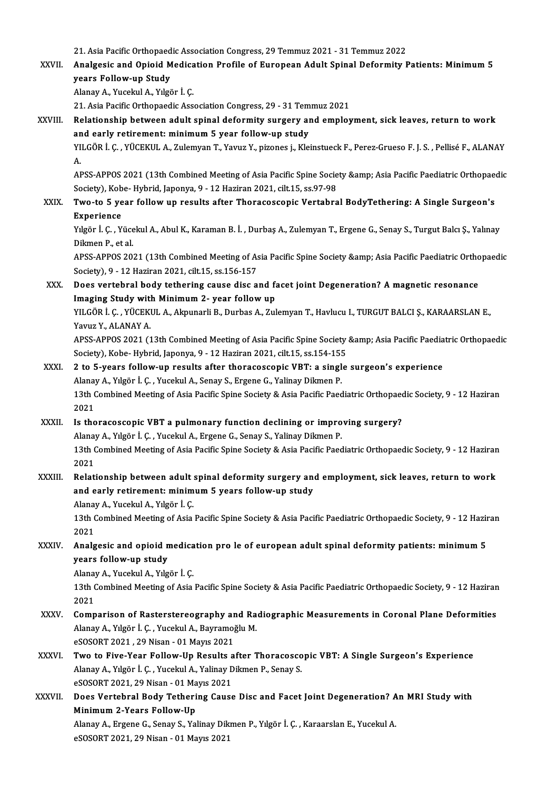21. Asia Pacific Orthopaedic Association Congress, 29 Temmuz 2021 - 31 Temmuz 2022<br>Analgesis and Opiaid Medisstion Prafile of European Adult Spinal Defermity I

XXVII. Analgesic and Opioid Medication Profile of European Adult Spinal Deformity Patients: Minimum 5<br>vears Follow-up Study 21. Asia Pacific Orthopaed<br>Analgesic and Opioid M<br>years Follow-up Study<br>Alanay A. Yusalul A. Vilsä years Follow-up Study<br>Alanay A., Yucekul A., Yılgör İ. Ç.<br>21. Asia Pacific Orthopaedic Association Congress, 29 - 31 Temmuz 2021<br>Belationship between adult spinal defermity surgery and empley

AlanayA.,YucekulA.,Yılgör İ.Ç.

XXVIII. Relationship between adult spinal deformity surgery and employment, sick leaves, return to work<br>and early retirement: minimum 5 year follow-up study 21. Asia Pacific Orthopaedic Association Congress, 29 - 31 Tem<br>Relationship between adult spinal deformity surgery and<br>and early retirement: minimum 5 year follow-up study<br>VILCOP L.C., VÜCEKULA, Zulamvan T. Vauur V. pirone

YILGÖR İ. Ç. , YÜCEKUL A., Zulemyan T., Yavuz Y., pizones j., Kleinstueck F., Perez-Grueso F. J. S. , Pellisé F., ALANAY<br>A. an<br>YI<br>A. YILGÖR İ. Ç. , YÜCEKUL A., Zulemyan T., Yavuz Y., pizones j., Kleinstueck F., Perez-Grueso F. J. S. , Pellisé F., ALANAY<br>A.<br>APSS-APPOS 2021 (13th Combined Meeting of Asia Pacific Spine Society &amp; Asia Pacific Paediatric

A.<br>APSS-APPOS 2021 (13th Combined Meeting of Asia Pacific Spine Socie<br>Society), Kobe- Hybrid, Japonya, 9 - 12 Haziran 2021, cilt.15, ss.97-98<br>Two to 5 year follow un requite after Thoracoscopis Vortabre APSS-APPOS 2021 (13th Combined Meeting of Asia Pacific Spine Society & Asia Pacific Paediatric Orthopaed<br>Society), Kobe-Hybrid, Japonya, 9 - 12 Haziran 2021, cilt.15, ss.97-98<br>XXIX. Two-to 5 year follow up results afte

## Society), Kobe- Hybrid, Japonya, 9 - 12 Haziran 2021, cilt.15, ss.97-98<br>Two-to 5 year follow up results after Thoracoscopic Vertabral BodyTethering: A Single Surgeon's<br>Experience Two-to 5 year follow up results after Thoracoscopic Vertabral BodyTethering: A Single Surgeon's<br>Experience<br>Yılgör İ. Ç. , Yücekul A., Abul K., Karaman B. İ. , Durbaş A., Zulemyan T., Ergene G., Senay S., Turgut Balcı Ş., Y

Experience<br>Yılgör İ. Ç. , Yüce<br>Dikmen P., et al.<br>APSS APROS 20 Yılgör İ. Ç. , Yücekul A., Abul K., Karaman B. İ. , Durbaş A., Zulemyan T., Ergene G., Senay S., Turgut Balcı Ş., Yalınay<br>Dikmen P., et al.<br>APSS-APPOS 2021 (13th Combined Meeting of Asia Pacific Spine Society &amp; Asia Pa

Dikmen P., et al.<br>APSS-APPOS 2021 (13th Combined Meeting of As<br>Society), 9 - 12 Haziran 2021, cilt.15, ss.156-157<br>Does vertebrel body tetbering sevee dise e APSS-APPOS 2021 (13th Combined Meeting of Asia Pacific Spine Society & amp; Asia Pacific Paediatric Orthonology, 9 - 12 Haziran 2021, cilt.15, ss.156-157<br>XXX. Does vertebral body tethering cause disc and facet joint Degene

## Society), 9 - 12 Haziran 2021, cilt.15, ss.156-157<br>Does vertebral body tethering cause disc and faith<br>Imaging Study with Minimum 2- year follow up<br>VILGÖR L.G. WÜGEKULA Almungrli B. Durbes A. Zul Does vertebral body tethering cause disc and facet joint Degeneration? A magnetic resonance<br>Imaging Study with Minimum 2- year follow up<br>YILGÖR İ. Ç. , YÜCEKUL A., Akpunarli B., Durbas A., Zulemyan T., Havlucu I., TURGUT B

**Imaging Study with<br>YILGÖR İ. Ç. , YÜCEKI<br>Yavuz Y., ALANAY A.<br>APSS APPOS 2021 (1** YILGÖR İ. Ç. , YÜCEKUL A., Akpunarli B., Durbas A., Zulemyan T., Havlucu I., TURGUT BALCI Ş., KARAARSLAN E.,<br>Yavuz Y., ALANAY A.<br>APSS-APPOS 2021 (13th Combined Meeting of Asia Pacific Spine Society &amp; Asia Pacific Paedi

Yavuz Y., ALANAY A.<br>APSS-APPOS 2021 (13th Combined Meeting of Asia Pacific Spine Society<br>Society), Kobe- Hybrid, Japonya, 9 - 12 Haziran 2021, cilt.15, ss.154-155<br>2 to 5, vears follow, un results after thorasossonis VPT: a APSS-APPOS 2021 (13th Combined Meeting of Asia Pacific Spine Society & Asia Pacific Paediatric Orthopaedic<br>Society), Kobe- Hybrid, Japonya, 9 - 12 Haziran 2021, cilt.15, ss.154-155<br>XXXI. 2 to 5-years follow-up results

Society), Kobe- Hybrid, Japonya, 9 - 12 Haziran 2021, cilt.15, ss.154-155<br>2 to 5-years follow-up results after thoracoscopic VBT: a singl<br>Alanay A., Yılgör İ. Ç. , Yucekul A., Senay S., Ergene G., Yalinay Dikmen P.<br>12th Co 13th Combined Meeting of Asia Pacific Spine Society & Asia Pacific Paediatric Orthopaedic Society, 9 - 12 Haziran 2021 Alanay A., Yılgör İ. Ç., Yucekul A., Senay S., Ergene G., Yalinay Dikmen P.

## XXXII. Is thoracoscopic VBT a pulmonary function declining or improving surgery? 2021<br>Is thoracoscopic VBT a pulmonary function declining or impro<br>Alanay A., Yılgör İ. Ç. , Yucekul A., Ergene G., Senay S., Yalinay Dikmen P.<br>12th Combined Meeting of Asia Pesifis Spine Sesisty & Asia Pesifis Peed Alanay<br>13th C<br>2021<br>Palati

13th Combined Meeting of Asia Pacific Spine Society & Asia Pacific Paediatric Orthopaedic Society, 9 - 12 Haziran 2021 13th Combined Meeting of Asia Pacific Spine Society & Asia Pacific Paediatric Orthopaedic Society, 9 - 12 Hazirar<br>2021<br>XXXIII. Relationship between adult spinal deformity surgery and employment, sick leaves, return to work

## 2021<br>Relationship between adult spinal deformity surgery and<br>and early retirement: minimum 5 years follow-up study<br>Alansy A. Yugalul A. Yılgön İ.C Relationship between adult :<br>and early retirement: minim<br>Alanay A., Yucekul A., Yılgör İ. Ç.<br>12th Combined Meeting of Asia

and early retirement: minimum 5 years follow-up study<br>Alanay A., Yucekul A., Yılgör İ. Ç.<br>13th Combined Meeting of Asia Pacific Spine Society & Asia Pacific Paediatric Orthopaedic Society, 9 - 12 Haziran<br>2021 Alanay<br>13th C<br>2021 13th Combined Meeting of Asia Pacific Spine Society & Asia Pacific Paediatric Orthopaedic Society, 9 - 12 Hazi<br>2021<br>XXXIV. Analgesic and opioid medication pro le of european adult spinal deformity patients: minimum 5<br>xears

## 2021<br>Analgesic and opioid r<br>years follow-up study Analgesic and opioid medica<br>years follow-up study<br>Alanay A., Yucekul A., Yılgör İ. Ç.<br>12th Combined Meeting of Asia

Alanay A., Yucekul A., Yılgör İ. Ç.

13th Combined Meeting of Asia Pacific Spine Society & Asia Pacific Paediatric Orthopaedic Society, 9 - 12 Haziran 2021

- XXXV. Comparison of Rasterstereography and Radiographic Measurements in Coronal Plane Deformities 2021<br>Comparison of Rasterstereography and Ra<br>Alanay A., Yılgör İ. Ç. , Yucekul A., Bayramoğlu M.<br>2SOSOPT 2021, 29 Nisan, 91 Mayıs 2021 Comparison of Rasterstereography ar<br>Alanay A., Yılgör İ. Ç. , Yucekul A., Bayramoğ<br>eSOSORT 2021 , 29 Nisan - 01 Mayıs 2021<br>Two to Five Year Follow Un Besults e Alanay A., Yılgör İ. Ç. , Yucekul A., Bayramoğlu M.<br>eSOSORT 2021 , 29 Nisan - 01 Mayıs 2021<br>XXXVI. Two to Five-Year Follow-Up Results after Thoracoscopic VBT: A Single Surgeon's Experience<br>Alanay A. Yılgör İ. G. Yucelu
- eSOSORT 2021 , 29 Nisan 01 Mayıs 2021<br>**Two to Five-Year Follow-Up Results after Thoracosco**<br>Alanay A., Yılgör İ. Ç. , Yucekul A., Yalinay Dikmen P., Senay S. Two to Five-Year Follow-Up Results a<br>Alanay A., Yılgör İ. Ç. , Yucekul A., Yalinay D<br>eSOSORT 2021, 29 Nisan - 01 Mayıs 2021<br>Dess Vantabral Bady Tatharing Gauss Alanay A., Yılgör İ. Ç. , Yucekul A., Yalinay Dikmen P., Senay S.<br>eSOSORT 2021, 29 Nisan - 01 Mayıs 2021<br>XXXVII. Does Vertebral Body Tethering Cause Disc and Facet Joint Degeneration? An MRI Study with<br>Minimum 3 Years
- eSOSORT 2021, 29 Nisan 01 Ma<br>Does Vertebral Body Tetheri<br>Minimum 2-Years Follow-Up<br>Alanay A. Engane G. Sanay S. Yal Does Vertebral Body Tethering Cause Disc and Facet Joint Degeneration? A<br>Minimum 2-Years Follow-Up<br>Alanay A., Ergene G., Senay S., Yalinay Dikmen P., Yılgör İ. Ç. , Karaarslan E., Yucekul A.<br>^SOSOPT 2021-20 Nisan - 01 Mayı

Minimum 2-Years Follow-Up<br>Alanay A., Ergene G., Senay S., Yalinay Dik<br>eSOSORT 2021, 29 Nisan - 01 Mayıs 2021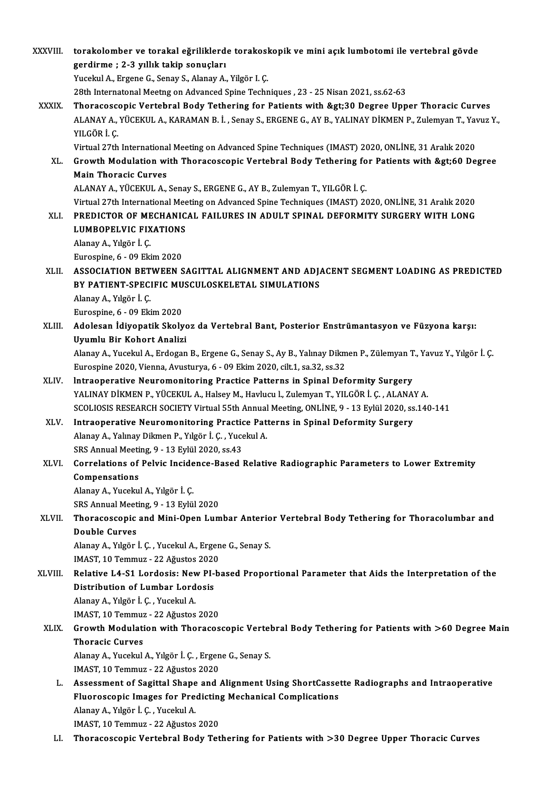| XXXVIII.     | torakolomber ve torakal eğriliklerde torakoskopik ve mini açık lumbotomi ile vertebral gövde                          |
|--------------|-----------------------------------------------------------------------------------------------------------------------|
|              | gerdirme ; 2-3 yıllık takip sonuçları                                                                                 |
|              | Yucekul A., Ergene G., Senay S., Alanay A., Yilgör I. C.                                                              |
|              | 28th Internatonal Meetng on Advanced Spine Techniques, 23 - 25 Nisan 2021, ss.62-63                                   |
| <b>XXXIX</b> | Thoracoscopic Vertebral Body Tethering for Patients with >30 Degree Upper Thoracic Curves                             |
|              | ALANAY A., YÜCEKUL A., KARAMAN B. İ., Senay S., ERGENE G., AY B., YALINAY DİKMEN P., Zulemyan T., Yavuz Y.,           |
|              | YILGÖR İ.Ç.                                                                                                           |
|              | Virtual 27th International Meeting on Advanced Spine Techniques (IMAST) 2020, ONLINE, 31 Aralık 2020                  |
| XL.          | Growth Modulation with Thoracoscopic Vertebral Body Tethering for Patients with >60 Degree                            |
|              | <b>Main Thoracic Curves</b>                                                                                           |
|              | ALANAY A., YÜCEKUL A., Senay S., ERGENE G., AY B., Zulemyan T., YILGÖR İ. Ç.                                          |
|              | Virtual 27th International Meeting on Advanced Spine Techniques (IMAST) 2020, ONLINE, 31 Aralık 2020                  |
| XLI.         | PREDICTOR OF MECHANICAL FAILURES IN ADULT SPINAL DEFORMITY SURGERY WITH LONG                                          |
|              | LUMBOPELVIC FIXATIONS                                                                                                 |
|              | Alanay A., Yılgör İ. Ç.                                                                                               |
|              | Eurospine, 6 - 09 Ekim 2020                                                                                           |
| XLII.        | ASSOCIATION BETWEEN SAGITTAL ALIGNMENT AND ADJACENT SEGMENT LOADING AS PREDICTED                                      |
|              | BY PATIENT-SPECIFIC MUSCULOSKELETAL SIMULATIONS                                                                       |
|              | Alanay A., Yılgör İ. Ç.<br>Eurospine, 6 - 09 Ekim 2020                                                                |
| XLIII.       | Adolesan İdiyopatik Skolyoz da Vertebral Bant, Posterior Enstrümantasyon ve Füzyona karşı:                            |
|              | Uyumlu Bir Kohort Analizi                                                                                             |
|              | Alanay A., Yucekul A., Erdogan B., Ergene G., Senay S., Ay B., Yalınay Dikmen P., Zülemyan T., Yavuz Y., Yılgör İ. Ç. |
|              | Eurospine 2020, Vienna, Avusturya, 6 - 09 Ekim 2020, cilt.1, sa.32, ss.32                                             |
| XLIV.        | Intraoperative Neuromonitoring Practice Patterns in Spinal Deformity Surgery                                          |
|              | YALINAY DİKMEN P., YÜCEKUL A., Halsey M., Havlucu l., Zulemyan T., YILGÖR İ. Ç., ALANAY A.                            |
|              | SCOLIOSIS RESEARCH SOCIETY Virtual 55th Annual Meeting, ONLINE, 9 - 13 Eylül 2020, ss.140-141                         |
| XLV.         | Intraoperative Neuromonitoring Practice Patterns in Spinal Deformity Surgery                                          |
|              | Alanay A., Yalınay Dikmen P., Yılgör İ. Ç., Yucekul A.                                                                |
|              | SRS Annual Meeting, 9 - 13 Eylül 2020, ss 43                                                                          |
| XLVI.        | Correlations of Pelvic Incidence-Based Relative Radiographic Parameters to Lower Extremity                            |
|              | Compensations                                                                                                         |
|              | Alanay A., Yucekul A., Yılgör İ. Ç.                                                                                   |
|              | SRS Annual Meeting, 9 - 13 Eylül 2020                                                                                 |
| XLVII.       | Thoracoscopic and Mini-Open Lumbar Anterior Vertebral Body Tethering for Thoracolumbar and                            |
|              | <b>Double Curves</b>                                                                                                  |
|              | Alanay A., Yılgör İ. Ç., Yucekul A., Ergene G., Senay S.                                                              |
|              | IMAST, 10 Temmuz - 22 Ağustos 2020                                                                                    |
| XLVIII.      | Relative L4-S1 Lordosis: New PI-based Proportional Parameter that Aids the Interpretation of the                      |
|              | Distribution of Lumbar Lordosis                                                                                       |
|              | Alanay A., Yılgör İ. Ç., Yucekul A.                                                                                   |
|              | IMAST, 10 Temmuz - 22 Ağustos 2020                                                                                    |
| XLIX.        | Growth Modulation with Thoracoscopic Vertebral Body Tethering for Patients with >60 Degree Main                       |
|              | <b>Thoracic Curves</b>                                                                                                |
|              | Alanay A., Yucekul A., Yılgör İ. Ç., Ergene G., Senay S.                                                              |
| L.           | IMAST, 10 Temmuz - 22 Ağustos 2020                                                                                    |
|              | Assessment of Sagittal Shape and Alignment Using ShortCassette Radiographs and Intraoperative                         |
|              | Fluoroscopic Images for Predicting Mechanical Complications<br>Alanay A., Yılgör İ. Ç., Yucekul A.                    |
|              | IMAST, 10 Temmuz - 22 Ağustos 2020                                                                                    |
| LI.          | Thoracoscopic Vertebral Body Tethering for Patients with >30 Degree Upper Thoracic Curves                             |
|              |                                                                                                                       |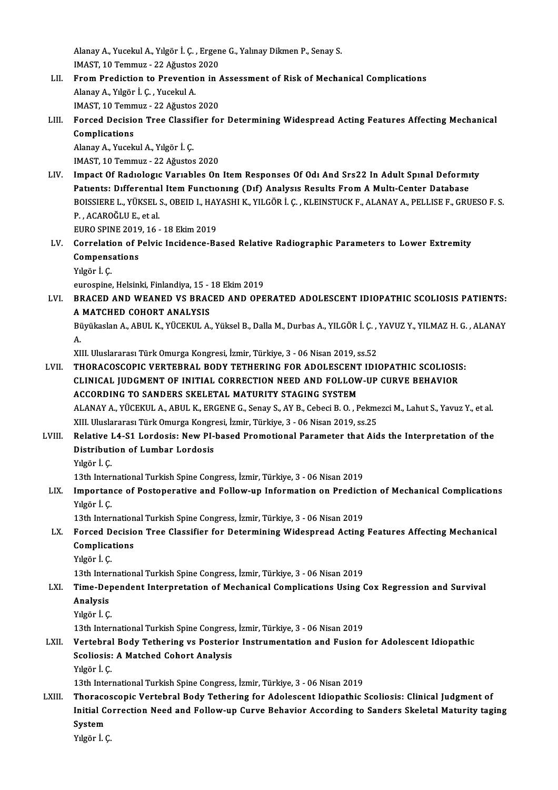Alanay A., Yucekul A., Yılgör İ. Ç. , Ergene G., Yalınay Dikmen P., Senay S.<br>IMAST 10 Temmuz. 22 Ağustas 2020 Alanay A., Yucekul A., Yılgör İ. Ç. , Ergen<br>IMAST, 10 Temmuz - 22 Ağustos 2020<br>Enem Predistien te Preventien in

- IMAST, 10 Temmuz 22 Ağustos 2020<br>LII. Prom Prediction to Prevention in Assessment of Risk of Mechanical Complications AlanayA.,Yılgör İ.Ç. ,YucekulA. IMAST, 10 Temmuz - 22 Ağustos 2020 Alanay A., Yılgör İ. Ç. , Yucekul A.<br>IMAST, 10 Temmuz - 22 Ağustos 2020<br>LIII. Forced Decision Tree Classifier for Determining Widespread Acting Features Affecting Mechanical<br>Complications
- IMAST, 10 Temn<br>Forced Decisio<br>Complications<br>Alanay A Yucek Forced Decision Tree Classi!<br>Complications<br>Alanay A., Yucekul A., Yılgör İ. Ç.<br>IMAST 10 Temmuz - 22 Ağustes Complications<br>Alanay A., Yucekul A., Yılgör İ. Ç.<br>IMAST, 10 Temmuz - 22 Ağustos 2020

Alanay A., Yucekul A., Yılgör İ. Ç.<br>IMAST, 10 Temmuz - 22 Ağustos 2020<br>LIV. Impact Of Radıologıc Varıables On Item Responses Of Odı And Srs22 In Adult Spınal Deformity<br>Patients: Differential Item Eungtienung (Dif) Anal IMAST, 10 Temmuz - 22 Ağustos 2020<br>Impact Of Radiologic Variables On Item Responses Of Odi And Srs22 In Adult Spinal Deformi<br>Patients: Differential Item Functioning (Dif) Analysis Results From A Multi-Center Database<br>POISS Impact Of Radıologic Variables On Item Responses Of Odi And Srs22 In Adult Spinal Deformity<br>Patients: Differential Item Functioning (Dif) Analysis Results From A Multi-Center Database<br>BOISSIERE L., YÜKSEL S., OBEID I., HAY Patients: Differential Item Functioning (Dif) Analysis Results From A Multi-Center Database<br>BOISSIERE L., YÜKSEL S., OBEID I., HAYASHI K., YILGÖR İ. Ç. , KLEINSTUCK F., ALANAY A., PELLISE F., GRU<br>P. , ACAROĞLU E., et al. BOISSIERE L., YÜKSEL S., OBEID I., HAYASHI K., YILGÖR İ. C., KLEINSTUCK F., ALANAY A., PELLISE F., GRUESO F. S.

- P. , ACAROĞLU E., et al.<br>EURO SPINE 2019, 16 18 Ekim 2019<br>LV. Correlation of Pelvic Incidence-Based Relative Radiographic Parameters to Lower Extremity<br>Compensations EURO SPINE 2019, 16 - 18 Ekim 2019<br>Correlation of Pelvic Incidence-Ba<br>Compensations<br>Yılgör İ. Ç. Correlati<br>Compens<br>Yılgör İ. Ç.<br>aurosnina Compensations<br>Yılgör İ. Ç.<br>eurospine, Helsinki, Finlandiya, 15 - 18 Ekim 2019<br>PRACED AND WEANED VS PRACED AND OPE
	-

- LVI. BRACED ANDWEANED VS BRACED AND OPERATED ADOLESCENT IDIOPATHIC SCOLIOSIS PATIENTS: eurospine, Helsinki, Finlandiya, 15 - 1<br>BRACED AND WEANED VS BRAC<br>A MATCHED COHORT ANALYSIS<br>Büyükadan A ABUL K VÜCEKUL A BRACED AND WEANED VS BRACED AND OPERATED ADOLESCENT IDIOPATHIC SCOLIOSIS PATIENTS:<br>A MATCHED COHORT ANALYSIS<br>Büyükaslan A., ABUL K., YÜCEKUL A., Yüksel B., Dalla M., Durbas A., YILGÖR İ. Ç. , YAVUZ Y., YILMAZ H. G. , ALANA
	- A.<br>Bü<br>A. Büyükaslan A., ABUL K., YÜCEKUL A., Yüksel B., Dalla M., Durbas A., YILGÖR İ. Ç. ,<br>A.<br>XIII. Uluslararası Türk Omurga Kongresi, İzmir, Türkiye, 3 - 06 Nisan 2019, ss.52<br>THOPACOSCOPIC VERTERRAL, RODY TETHERINC EOR ADOLESCENT

A.<br>XIII. Uluslararası Türk Omurga Kongresi, İzmir, Türkiye, 3 - 06 Nisan 2019, ss.52<br>LVII. THORACOSCOPIC VERTEBRAL BODY TETHERING FOR ADOLESCENT IDIOPATHIC SCOLIOSIS:<br>CLINICAL UIDCMENT OF INITIAL COPPECTION NEED AND FO XIII. Uluslararası Türk Omurga Kongresi, İzmir, Türkiye, 3 - 06 Nisan 2019, ss.52<br>THORACOSCOPIC VERTEBRAL BODY TETHERING FOR ADOLESCENT IDIOPATHIC SCOLIOSIS<br>CLINICAL JUDGMENT OF INITIAL CORRECTION NEED AND FOLLOW-UP CURVE CLINICAL JUDGMENT OF INITIAL CORRECTION NEED AND FOLLOW-UP CURVE BEHAVIOR ACCORDING TO SANDERS SKELETAL MATURITY STAGING SYSTEM CLINICAL JUDGMENT OF INITIAL CORRECTION NEED AND FOLLOW-UP CURVE BEHAVIOR<br>ACCORDING TO SANDERS SKELETAL MATURITY STAGING SYSTEM<br>ALANAY A., YÜCEKUL A., ABUL K., ERGENE G., Senay S., AY B., Cebeci B. O. , Pekmezci M., Lahut ACCORDING TO SANDERS SKELETAL MATURITY STAGING SYSTEM<br>ALANAY A., YÜCEKUL A., ABUL K., ERGENE G., Senay S., AY B., Cebeci B. O. , Pekme<br>XIII. Uluslararası Türk Omurga Kongresi, İzmir, Türkiye, 3 - 06 Nisan 2019, ss.25<br>Belat

## ALANAY A., YÜCEKUL A., ABUL K., ERGENE G., Senay S., AY B., Cebeci B. O. , Pekmezci M., Lahut S., Yavuz Y., et al.<br>XIII. Uluslararası Türk Omurga Kongresi, İzmir, Türkiye, 3 - 06 Nisan 2019, ss.25<br>LVIII. Relative L4-S1 Lor XIII. Uluslararası Türk Omurga Kongre<br>Relative L4-S1 Lordosis: New PI-<br>Distribution of Lumbar Lordosis<br>Vilgën I C Relative<br>Distribut:<br>Yılgör İ. Ç.<br>12th Inter <mark>Distribution of Lumbar Lordosis</mark><br>Yılgör İ. Ç.<br>13th International Turkish Spine Congress, İzmir, Türkiye, 3 - 06 Nisan 2019<br>Importange of Bostonerative and Fellow un Information en Bredisti

Yılgör İ. Ç.<br>13th International Turkish Spine Congress, İzmir, Türkiye, 3 - 06 Nisan 2019<br>LIX. Importance of Postoperative and Follow-up Information on Prediction of Mechanical Complications<br>Vılgön<sup>i</sup> G 13th Inter<br>Importan<br>Yılgör İ. Ç.<br>13th Inter Importance of Postoperative and Follow-up Information on Predicti<br>Yılgör İ. Ç.<br>13th International Turkish Spine Congress, İzmir, Türkiye, 3 - 06 Nisan 2019<br>Forsed Desision Tree Classifier for Determining Widespreed Asting

13th International Turkish Spine Congress, İzmir, Türkiye, 3 - 06 Nisan 2019

## Yılgör İ. Ç.<br>13th International Turkish Spine Congress, İzmir, Türkiye, 3 - 06 Nisan 2019<br>LX. Forced Decision Tree Classifier for Determining Widespread Acting Features Affecting Mechanical<br>Complications Complications<br>Yılgör İ. Ç.<br>13th International Turkish Spine Congress, İzmir, Türkiye, 3 - 06 Nisan 2019<br>Time Dependent Internretation of Meshanisal Complications Using (

Yılgör İ.Ç.

## Yılgör İ. Ç.<br>13th International Turkish Spine Congress, İzmir, Türkiye, 3 - 06 Nisan 2019<br>LXI. Time-Dependent Interpretation of Mechanical Complications Using Cox Regression and Survival<br>Analysis 13th Inter<br>Time-De<sub>l</sub><br>Analysis<br><sup>Vilgër i C</sup> Time-Dep<br>Analysis<br>Yılgör İ. Ç.<br>13th Inter

Analysis<br>13th International Turkish Spine Congress, İzmir, Türkiye, 3 - 06 Nisan 2019<br>13th International Turkish Spine Congress, İzmir, Türkiye, 3 - 06 Nisan 2019

### Yılgör İ. Ç.<br>13th International Turkish Spine Congress, İzmir, Türkiye, 3 - 06 Nisan 2019<br>LXII. Vertebral Body Tethering vs Posterior Instrumentation and Fusion for Adolescent Idiopathic<br>Seoliosis: A Matebed Cobert Ana 13th International Turkish Spine Congress<br>Vertebral Body Tethering vs Posterio<br>Scoliosis: A Matched Cohort Analysis<br>Vilgër i G Vertebral<br>Scoliosis:<br>Yılgör İ. Ç.<br>13th Inter 13th International Cohort Analysis<br>13th International Turkish Spine Congress, İzmir, Türkiye, 3 - 06 Nisan<br>13th International Turkish Spine Congress, İzmir, Türkiye, 3 - 06 Nisan

### Yılgör İ. Ç.<br>13th International Turkish Spine Congress, İzmir, Türkiye, 3 - 06 Nisan 2019<br>13. LXIII. Thoracoscopic Vertebral Body Tethering for Adolescent Idiopathic Scoliosis: Clinical Judgment of<br>13. Initial Connecti 13th International Turkish Spine Congress, İzmir, Türkiye, 3 - 06 Nisan 2019<br>Thoracoscopic Vertebral Body Tethering for Adolescent Idiopathic Scoliosis: Clinical Judgment of<br>Initial Correction Need and Follow-up Curve Beha Thoraco<br>Initial C<br>System<br><sup>Vilgën</sub>i *(*</sup> Initial Correction Need and Follow-up Curve Behavior According to Sanders Skeletal Maturity taging<br>System<br>Yılgör İ.Ç.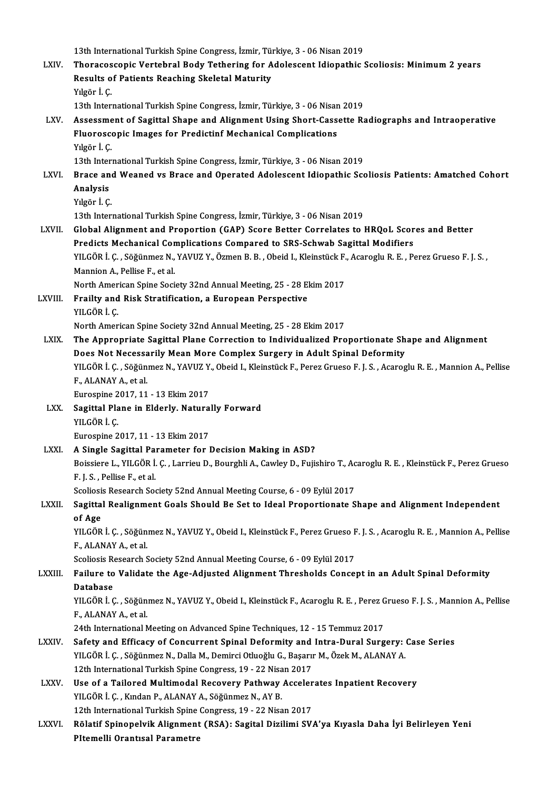13th International Turkish Spine Congress, İzmir, Türkiye, 3 - 06 Nisan 2019<br>Therecoscopis Vertebral Body: Tethering fan Adelessent Idionathie (

|              | 13th International Turkish Spine Congress, İzmir, Türkiye, 3 - 06 Nisan 2019                                                                                         |
|--------------|----------------------------------------------------------------------------------------------------------------------------------------------------------------------|
| LXIV.        | Thoracoscopic Vertebral Body Tethering for Adolescent Idiopathic Scoliosis: Minimum 2 years                                                                          |
|              | Results of Patients Reaching Skeletal Maturity                                                                                                                       |
|              | Yılgör İ Ç                                                                                                                                                           |
|              | 13th International Turkish Spine Congress, İzmir, Türkiye, 3 - 06 Nisan 2019                                                                                         |
| LXV.         | Assessment of Sagittal Shape and Alignment Using Short-Cassette Radiographs and Intraoperative                                                                       |
|              | Fluoroscopic Images for Predictinf Mechanical Complications                                                                                                          |
|              | Yılgör İ Ç                                                                                                                                                           |
| LXVI.        | 13th International Turkish Spine Congress, İzmir, Türkiye, 3 - 06 Nisan 2019                                                                                         |
|              | Brace and Weaned vs Brace and Operated Adolescent Idiopathic Scoliosis Patients: Amatched Cohort                                                                     |
|              | Analysis                                                                                                                                                             |
|              | Yılgör İ. Ç                                                                                                                                                          |
|              | 13th International Turkish Spine Congress, İzmir, Türkiye, 3 - 06 Nisan 2019                                                                                         |
| LXVII.       | Global Alignment and Proportion (GAP) Score Better Correlates to HRQoL Scores and Better                                                                             |
|              | Predicts Mechanical Complications Compared to SRS-Schwab Sagittal Modifiers                                                                                          |
|              | YILGÖR İ. Ç., Söğünmez N., YAVUZ Y., Özmen B. B., Obeid I., Kleinstück F., Acaroglu R. E., Perez Grueso F. J. S.,                                                    |
|              | Mannion A., Pellise F., et al.                                                                                                                                       |
|              | North American Spine Society 32nd Annual Meeting, 25 - 28 Ekim 2017                                                                                                  |
| LXVIII.      | Frailty and Risk Stratification, a European Perspective                                                                                                              |
|              | YILGÖR İ. Ç.                                                                                                                                                         |
| LXIX.        | North American Spine Society 32nd Annual Meeting, 25 - 28 Ekim 2017<br>The Appropriate Sagittal Plane Correction to Individualized Proportionate Shape and Alignment |
|              | Does Not Necessarily Mean More Complex Surgery in Adult Spinal Deformity                                                                                             |
|              | YILGÖR İ. Ç., Söğünmez N., YAVUZ Y., Obeid I., Kleinstück F., Perez Grueso F. J. S., Acaroglu R. E., Mannion A., Pellise                                             |
|              | F., ALANAY A., et al.                                                                                                                                                |
|              | Eurospine 2017, 11 - 13 Ekim 2017                                                                                                                                    |
| LXX.         | Sagittal Plane in Elderly. Naturally Forward                                                                                                                         |
|              | YILGÖR İÇ                                                                                                                                                            |
|              | Eurospine 2017, 11 - 13 Ekim 2017                                                                                                                                    |
| LXXI.        | A Single Sagittal Parameter for Decision Making in ASD?                                                                                                              |
|              | Boissiere L., YILGÖR İ. Ç., Larrieu D., Bourghli A., Cawley D., Fujishiro T., Acaroglu R. E., Kleinstück F., Perez Grueso                                            |
|              | F J S , Pellise F , et al.                                                                                                                                           |
|              | Scoliosis Research Society 52nd Annual Meeting Course, 6 - 09 Eylül 2017                                                                                             |
| LXXII.       | Sagittal Realignment Goals Should Be Set to Ideal Proportionate Shape and Alignment Independent                                                                      |
|              | of Age                                                                                                                                                               |
|              | YILGÖR İ. Ç., Söğünmez N., YAVUZ Y., Obeid I., Kleinstück F., Perez Grueso F. J. S., Acaroglu R. E., Mannion A., Pellise                                             |
|              | F., ALANAY A., et al.                                                                                                                                                |
|              | Scoliosis Research Society 52nd Annual Meeting Course, 6 - 09 Eylül 2017                                                                                             |
| LXXIII.      | Failure to Validate the Age-Adjusted Alignment Thresholds Concept in an Adult Spinal Deformity                                                                       |
|              | Database                                                                                                                                                             |
|              | YILGÖR İ. Ç. , Söğünmez N., YAVUZ Y., Obeid I., Kleinstück F., Acaroglu R. E. , Perez Grueso F. J. S. , Mannion A., Pellise                                          |
|              | F., ALANAY A., et al.                                                                                                                                                |
|              | 24th International Meeting on Advanced Spine Techniques, 12 - 15 Temmuz 2017                                                                                         |
| <b>LXXIV</b> | Safety and Efficacy of Concurrent Spinal Deformity and Intra-Dural Surgery: Case Series                                                                              |
|              | YILGÖR İ. Ç., Söğünmez N., Dalla M., Demirci Otluoğlu G., Başarır M., Özek M., ALANAY A.                                                                             |
|              | 12th International Turkish Spine Congress, 19 - 22 Nisan 2017                                                                                                        |
| <b>LXXV</b>  | Use of a Tailored Multimodal Recovery Pathway Accelerates Inpatient Recovery                                                                                         |
|              | YILGÖR İ. Ç., Kından P., ALANAY A., Söğünmez N., AY B.                                                                                                               |
|              | 12th International Turkish Spine Congress, 19 - 22 Nisan 2017                                                                                                        |
| LXXVI.       | Rölatif Spinopelvik Alignment (RSA): Sagital Dizilimi SVA'ya Kıyasla Daha İyi Belirleyen Yeni                                                                        |
|              | PItemelli Orantısal Parametre                                                                                                                                        |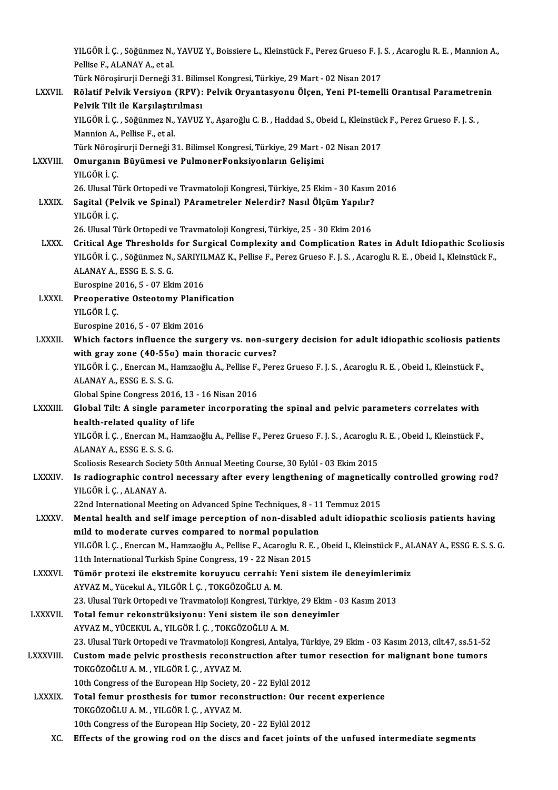YILGÖR İ. Ç. , Söğünmez N., YAVUZ Y., Boissiere L., Kleinstück F., Perez Grueso F. J. S. , Acaroglu R. E. , Mannion A.,<br>Pellise E. ALANAY A. et al. YILGÖR İ. Ç. , Söğünmez N.,<br>Pellise F., ALANAY A., et al.<br>Türk Nönesinurii Derneği 3 YILGÖR İ. Ç. , Söğünmez N., YAVUZ Y., Boissiere L., Kleinstück F., Perez Grueso F. J.<br>Pellise F., ALANAY A., et al.<br>Türk Nöroşirurji Derneği 31. Bilimsel Kongresi, Türkiye, 29 Mart - 02 Nisan 2017<br>Bölatif Balyik Vensiyen, Pellise F., ALANAY A., et al.<br>Türk Nöroşirurji Derneği 31. Bilimsel Kongresi, Türkiye, 29 Mart - 02 Nisan 2017<br>LXXVII. Rölatif Pelvik Versiyon (RPV): Pelvik Oryantasyonu Ölçen, Yeni PI-temelli Orantısal Parametrenin<br>Re Türk Nöroşirurji Derneği 31. Bilim<br>Rölatif Pelvik Versiyon (RPV):<br>Pelvik Tilt ile Karşılaştırılması<br><sup>VII C</sub>öp i C. Söğünmez N. YAVUZ</sup> Rölatif Pelvik Versiyon (RPV): Pelvik Oryantasyonu Ölçen, Yeni PI-temelli Orantısal Parametreı<br>Pelvik Tilt ile Karşılaştırılması<br>YILGÖR İ. Ç. , Söğünmez N., YAVUZ Y., Aşaroğlu C. B. , Haddad S., Obeid I., Kleinstück F., Pe Pelvik Tilt ile Karşılaştırılması<br>YILGÖR İ. Ç. , Söğünmez N., YAVUZ Y., Aşaroğlu C. B. , Haddad S., Obeid I., Kleinstüc<br>Mannion A., Pellise F., et al.<br>Türk Nöroşirurji Derneği 31. Bilimsel Kongresi, Türkiye, 29 Mart - 02 N YILGÖR İ. Ç., Söğünmez N., YAVUZ Y., Aşaroğlu C. B., Haddad S., Obeid I., Kleinstück F., Perez Grueso F. J. S., LXXVI I. Omurganın Büyümesi ve PulmonerFonksiyonların Gelişimi Türk Nöroşi<br>**Omurganın**<br>YILGÖR İ. Ç.<br>26 Ulusal Ti Omurganın Büyümesi ve PulmonerFonksiyonların Gelişimi<br>YILGÖR İ. Ç.<br>26. Ulusal Türk Ortopedi ve Travmatoloji Kongresi, Türkiye, 25 Ekim - 30 Kasım 2016<br>Segital (Balyik ve Sninal), PArametralar Nolordir? Nasıl Ölgüm Yanılır? YILGÖR İ. Ç.<br>26. Ulusal Türk Ortopedi ve Travmatoloji Kongresi, Türkiye, 25 Ekim - 30 Kasım<br>LXXIX. Sagital (Pelvik ve Spinal) PArametreler Nelerdir? Nasıl Ölçüm Yapılır?<br>YILGÖR İ. Ç. 26. Ulusal Ti<br><mark>Sagital (Pe</mark><br>YILGÖR İ. Ç.<br>26. Ulusal Ti 26. Ulusal Türk Ortopedi ve Travmatoloji Kongresi, Türkiye, 25 - 30 Ekim 2016 YILGÖR İ. Ç.<br>26. Ulusal Türk Ortopedi ve Travmatoloji Kongresi, Türkiye, 25 - 30 Ekim 2016<br>LXXX. Critical Age Thresholds for Surgical Complexity and Complication Rates in Adult Idiopathic Scoliosis<br>2016 VILGÖR İ. 26. Ulusal Türk Ortopedi ve Travmatoloji Kongresi, Türkiye, 25 - 30 Ekim 2016<br>Critical Age Thresholds for Surgical Complexity and Complication Rates in Adult Idiopathic Scolios<br>YILGÖR İ. Ç. , Söğünmez N., SARIYILMAZ K., Pe Critical Age Thresholds<br>YILGÖR İ. Ç. , Söğünmez N.,<br>ALANAY A., ESSG E. S. S. G.<br>Eunoanine 2016, E. , 07 Eki YILGÖR İ. Ç. , Söğünmez N., SARIYILMAZ K., Pellise F., Perez Grueso F. J. S. , Acaroglu R. E. , Obeid I., Kleinstück F.,<br>ALANAY A., ESSG E. S. S. G.<br>Eurospine 2016, 5 - 07 Ekim 2016 ALANAY A., ESSG E. S. S. G.<br>Eurospine 2016, 5 - 07 Ekim 2016<br>LXXXI. Preoperative Osteotomy Planification<br>VILCOP L.C YILGÖR İ. Ç.<br>Eurospine 2016, 5 - 07 Ekim 2016 Preoperative Osteotomy Planif<br>YILGÖR İ. Ç.<br>Eurospine 2016, 5 - 07 Ekim 2016<br>Which factors influence the sui LXXXII. Which factors influence the surgery vs. non-surgery decision for adult idiopathic scoliosis patients Eurospine 2016, 5 - 07 Ekim 2016<br>Which factors influence the surgery vs. non-sur<br>with gray zone (40-55o) main thoracic curves?<br>YU CÖP İ.C. Energa M. Hamgağlu A. Pollice E. Perg Which factors influence the surgery vs. non-surgery decision for adult idiopathic scoliosis patie<br>with gray zone (40-550) main thoracic curves?<br>YILGÖR İ. Ç. , Enercan M., Hamzaoğlu A., Pellise F., Perez Grueso F. J. S. , A with gray zone (40-550)<br>YILGÖR İ. Ç. , Enercan M., F<br>ALANAY A., ESSG E. S. S. G.<br>Clabal Snine Congress 201 YILGÖR İ. Ç. , Enercan M., Hamzaoğlu A., Pellise F.<br>ALANAY A., ESSG E. S. S. G.<br>Global Spine Congress 2016, 13 - 16 Nisan 2016<br>Clobal Tilt: A single paramatar incorporativ ALANAY A., ESSG E. S. S. G.<br>Global Spine Congress 2016, 13 - 16 Nisan 2016<br>LXXXIII. Global Tilt: A single parameter incorporating the spinal and pelvic parameters correlates with<br>health-related quality of life Global Spine Congress 2016, 13 - 16 Nisan 2016 Global Tilt: A single parameter incorporating the spinal and pelvic parameters correlates with<br>health-related quality of life<br>YILGÖR İ. Ç. , Enercan M., Hamzaoğlu A., Pellise F., Perez Grueso F. J. S. , Acaroglu R. E. , Ob health-related quality o<br>YILGÖR İ. Ç. , Enercan M., F<br>ALANAY A., ESSG E. S. S. G.<br>Seoliosia Beseareb Seciety YILGÖR İ. Ç. , Enercan M., Hamzaoğlu A., Pellise F., Perez Grueso F. J. S. , Acaroglu<br>ALANAY A., ESSG E. S. S. G.<br>Scoliosis Research Society 50th Annual Meeting Course, 30 Eylül - 03 Ekim 2015<br>Is nadiosraphie control neces ALANAY A., ESSG E. S. S. G.<br>Scoliosis Research Society 50th Annual Meeting Course, 30 Eylül - 03 Ekim 2015<br>LXXXIV. Is radiographic control necessary after every lengthening of magnetically controlled growing rod?<br>VILCOR L. Scoliosis Research Societ<br>Is radiographic contro<br>YILGÖR İ. Ç. , ALANAY A.<br>22nd International Meeti Is radiographic control necessary after every lengthening of magnetical<br>YILGÖR İ. Ç. , ALANAY A.<br>22nd International Meeting on Advanced Spine Techniques, 8 - 11 Temmuz 2015<br>Mental bealth and self image persention of non-di YILGÖR İ. Ç. , ALANAY A.<br>22nd International Meeting on Advanced Spine Techniques, 8 - 11 Temmuz 2015<br>LXXXV. Mental health and self image perception of non-disabled adult idiopathic scoliosis patients having<br>mild to moderat 22nd International Meeting on Advanced Spine Techniques, 8 - 11<br>Mental health and self image perception of non-disabled a<br>mild to moderate curves compared to normal population<br>VILGÖR L.C. Energen M. Hemreeğlu A. Pollies E. Mental health and self image perception of non-disabled adult idiopathic scoliosis patients having<br>mild to moderate curves compared to normal population<br>YILGÖR İ. Ç. , Enercan M., Hamzaoğlu A., Pellise F., Acaroglu R. E. , mild to moderate curves compared to normal population<br>ILGÖR İ. Ç. , Enercan M., Hamzaoğlu A., Pellise F., Acaroglu R. E.<br>11th International Turkish Spine Congress, 19 - 22 Nisan 2015<br>Tümör protegi ile ekstremite konuwusu s YILGÖR İ. Ç. , Enercan M., Hamzaoğlu A., Pellise F., Acaroglu R. E. , Obeid I., Kleinstück F., ALANAY A., ESSG E. S. S. G.<br>11th International Turkish Spine Congress, 19 - 22 Nisan 2015<br>LXXXVI. Tümör protezi ile ekstrem 11th International Turkish Spine Congress, 19 - 22 Nisa<br>Tümör protezi ile ekstremite koruyucu cerrahi: 1<br>AYVAZ M., Yücekul A., YILGÖR İ. Ç. , TOKGÖZOĞLU A. M.<br>22 Hlucel Türk Ortenedi ve Traymateleji Kongresi Türl Tümör protezi ile ekstremite koruyucu cerrahi: Yeni sistem ile deneyimlerin<br>AYVAZ M., Yücekul A., YILGÖR İ. Ç. , TOKGÖZOĞLU A. M.<br>23. Ulusal Türk Ortopedi ve Travmatoloji Kongresi, Türkiye, 29 Ekim - 03 Kasım 2013<br>Tetal fa AYVAZ M., Yücekul A., YILGÖR İ. Ç. , TOKGÖZOĞLU A. M.<br>23. Ulusal Türk Ortopedi ve Travmatoloji Kongresi, Türkiye, 29 Ekim - (<br>23. LXXXVII. Total femur rekonstrüksiyonu: Yeni sistem ile son deneyimler<br>AYVAZ M. YÜCEKUL A 23. Ulusal Türk Ortopedi ve Travmatoloji Kongresi, Türki<br>**Total femur rekonstrüksiyonu: Yeni sistem ile son**<br>AYVAZ M., YÜCEKUL A., YILGÖR İ. Ç. , TOKGÖZOĞLU A. M.<br><sup>22. Ulugal Türk Ortopedi ve Travmatoloji Kongresi, Antol</sup> Total femur rekonstrüksiyonu: Yeni sistem ile son deneyimler<br>AYVAZ M., YÜCEKUL A., YILGÖR İ. Ç. , TOKGÖZOĞLU A. M.<br>23. Ulusal Türk Ortopedi ve Travmatoloji Kongresi, Antalya, Türkiye, 29 Ekim - 03 Kasım 2013, cilt.47, ss.5 AYVAZ M., YÜCEKUL A., YILGÖR İ. Ç. , TOKGÖZOĞLU A. M.<br>23. Ulusal Türk Ortopedi ve Travmatoloji Kongresi, Antalya, Türkiye, 29 Ekim - 03 Kasım 2013, cilt.47, ss.51-52<br>2. LXXXVIII. Custom made pelvic prosthesis reconstru 23. Ulusal Türk Ortopedi ve Travmatoloji Kor<br>Custom made pelvic prosthesis reconst<br>TOKGÖZOĞLU A. M. , YILGÖR İ. Ç. , AYVAZ M.<br>10th Congrees of the European Hin Society ; Custom made pelvic prosthesis reconstruction after tum<br>TOKGÖZOĞLU A. M. , YILGÖR İ. Ç. , AYVAZ M.<br>10th Congress of the European Hip Society, 20 - 22 Eylül 2012<br>Total famur prosthesis for tumor resenstruction: Qur re TOKGÖZOĞLU A. M. , YILGÖR İ. Ç. , AYVAZ M.<br>10th Congress of the European Hip Society, 20 - 22 Eylül 2012<br>LXXXIX. Total femur prosthesis for tumor reconstruction: Our recent experience<br>TOKGÖZOĞLU A. M. YUGÖR İ. G. AYVAZ M. 10th Congress of the European Hip Society, <br>**Total femur prosthesis for tumor recon**<br>TOKGÖZOĞLU A.M. , YILGÖR İ.Ç. , AYVAZ M. Total femur prosthesis for tumor reconstruction: Our re<br>TOKGÖZOĞLU A. M. , YILGÖR İ. Ç. , AYVAZ M.<br>10th Congress of the European Hip Society, 20 - 22 Eylül 2012<br>Effects of the spewing nod on the disce and fect joints TOKGÖZOĞLU A. M. , YILGÖR İ. Ç. , AYVAZ M.<br>10th Congress of the European Hip Society, 20 - 22 Eylül 2012<br>XC. Effects of the growing rod on the discs and facet joints of the unfused intermediate segments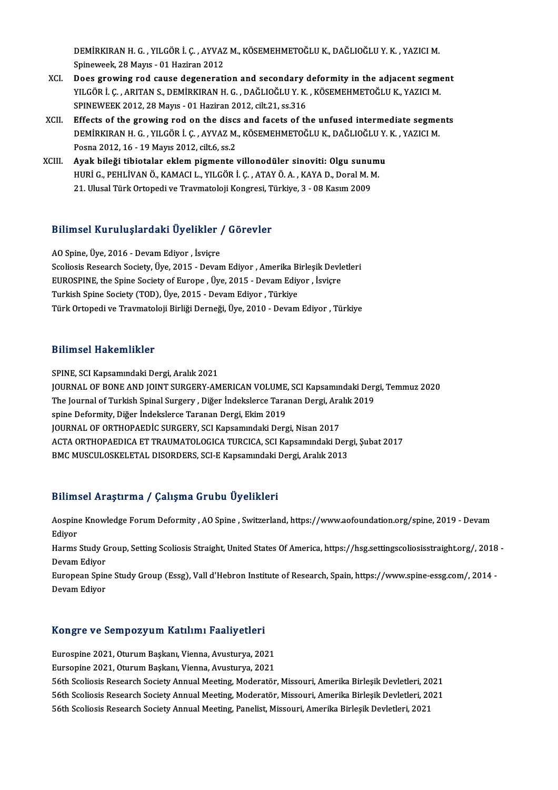DEMİRKIRAN H. G. , YILGÖR İ. Ç. , AYVAZ M., KÖSEMEHMETOĞLU K., DAĞLIOĞLU Y. K. , YAZICI M.<br>Spinavyalk. 28 Mayıs - 01 Haziran 2012. DEMİRKIRAN H. G. , YILGÖR İ. Ç. , AYVAZ<br>Spineweek, 28 Mayıs - 01 Haziran 2012<br>Dess srevying red sayse desenerati DEMİRKIRAN H. G., YILGÖR İ. Ç., AYVAZ M., KÖSEMEHMETOĞLU K., DAĞLIOĞLU Y. K., YAZICI M.<br>Spineweek, 28 Mayıs - 01 Haziran 2012<br>XCI. Does growing rod cause degeneration and secondary deformity in the adjacent segment<br>XILGÖR

- Spineweek, 28 Mayıs 01 Haziran 2012<br>Does growing rod cause degeneration and secondary deformity in the adjacent segme<br>YILGÖR İ. Ç. , ARITAN S., DEMİRKIRAN H. G. , DAĞLIOĞLU Y. K. , KÖSEMEHMETOĞLU K., YAZICI M.<br>SPINEWEEK Does growing rod cause degeneration and secondary of MLGÖR İ. Ç. , ARITAN S., DEMİRKIRAN H. G. , DAĞLIOĞLU Y. K.<br>SPINEWEEK 2012, 28 Mayıs - 01 Haziran 2012, cilt.21, ss.316<br>Effects of the growing rod on the discs and facet YILGÖR İ. Ç. , ARITAN S., DEMİRKIRAN H. G. , DAĞLIOĞLU Y. K. , KÖSEMEHMETOĞLU K., YAZICI M.<br>SPINEWEEK 2012, 28 Mayıs - 01 Haziran 2012, cilt.21, ss.316<br>XCII. Effects of the growing rod on the discs and facets of the unfuse
- SPINEWEEK 2012, 28 Mayıs 01 Haziran 2012, cilt.21, ss.316<br>Effects of the growing rod on the discs and facets of the unfused intermediate segme<br>DEMİRKIRAN H. G. , YILGÖR İ. Ç. , AYVAZ M., KÖSEMEHMETOĞLU K., DAĞLIOĞLU Y. K Effects of the growing rod on the discs<br>DEMİRKIRAN H. G., YILGÖR İ. Ç., AYVAZ M.<br>Posna 2012, 16 - 19 Mayıs 2012, cilt.6, ss.2<br>Ayak bileği tibiotalar eklem nismente 1 DEMİRKIRAN H. G., YILGÖR İ. Ç., AYVAZ M., KÖSEMEHMETOĞLU K., DAĞLIOĞLU Y.<br>Posna 2012, 16 - 19 Mayıs 2012, cilt.6, ss.2<br>XCIII. Ayak bileği tibiotalar eklem pigmente villonodüler sinoviti: Olgu sunumu<br>HIPLO PEHLİVAN Ö. KAMAC
- Posna 2012, 16 19 Mayıs 2012, cilt.6, ss.2<br><mark>Ayak bileği tibiotalar eklem pigmente villonodüler sinoviti: Olgu sunum</mark><br>HURİ G., PEHLİVAN Ö., KAMACI L., YILGÖR İ. Ç. , ATAY Ö. A. , KAYA D., Doral M. M.<br>21 Hlusel Türk Ortono Ayak bileği tibiotalar eklem pigmente villonodüler sinoviti: Olgu sunu:<br>HURİ G., PEHLİVAN Ö., KAMACI L., YILGÖR İ. Ç. , ATAY Ö. A. , KAYA D., Doral M. M<br>21. Ulusal Türk Ortopedi ve Travmatoloji Kongresi, Türkiye, 3 - 08 Ka

# Bilimsel KuruluşlardakiÜyelikler / Görevler

Bilimsel Kuruluşlardaki Üyelikler<br>AO Spine, Üye, 2016 - Devam Ediyor , İsviçre<br>Sealiasia Bessarah Sesisty, Üye, 2015 - Devan Sammoor Kur uruyur uurir oy ormicr 7 dorevici<br>A0 Spine, Üye, 2016 - Devam Ediyor , İsviçre<br>Scoliosis Research Society, Üye, 2015 - Devam Ediyor , Amerika Birleşik Devletleri<br>EUROSPINE the Spine Society of Europe, Üye, 2015 AO Spine, Üye, 2016 - Devam Ediyor , İsviçre<br>Scoliosis Research Society, Üye, 2015 - Devam Ediyor , Amerika Birleşik Devle<br>EUROSPINE, the Spine Society of Europe , Üye, 2015 - Devam Ediyor , İsviçre<br>Turkish Spine Society ( Scoliosis Research Society, Üye, 2015 - Devam Ediyor , Amerika B:<br>EUROSPINE, the Spine Society of Europe , Üye, 2015 - Devam Ediy<br>Türkish Spine Society (TOD), Üye, 2015 - Devam Ediyor , Türkiye<br>Türk Ortopedi ve Traumatalaj EUROSPINE, the Spine Society of Europe , Üye, 2015 - Devam Ediyor , İsviçre<br>Turkish Spine Society (TOD), Üye, 2015 - Devam Ediyor , Türkiye<br>Türk Ortopedi ve Travmatoloji Birliği Derneği, Üye, 2010 - Devam Ediyor , Türkiye

#### Bilimsel Hakemlikler

SPINE, SCI Kapsamındaki Dergi, Aralık 2021

JOURNALOFBONEANDJOINTSURGERY-AMERICANVOLUME,SCIKapsamındakiDergi,Temmuz2020 SPINE, SCI Kapsamındaki Dergi, Aralık 2021<br>JOURNAL OF BONE AND JOINT SURGERY-AMERICAN VOLUME, SCI Kapsamındaki Der<sub>i</sub><br>The Journal of Turkish Spinal Surgery , Diğer İndekslerce Taranan Dergi, Aralık 2019<br>snine Defermity, Di spine Deformity, Diğer İndekslerce Taranan Dergi, Ekim 2019<br>JOURNAL OF ORTHOPAEDİC SURGERY, SCI Kapsamındaki Dergi, Nisan 2017 The Journal of Turkish Spinal Surgery , Diğer İndekslerce Taranan Dergi, Ara<br>spine Deformity, Diğer İndekslerce Taranan Dergi, Ekim 2019<br>JOURNAL OF ORTHOPAEDIC SURGERY, SCI Kapsamındaki Dergi, Nisan 2017<br>ACTA OPTHOPAEDICA ACTAORTHOPAEDICAETTRAUMATOLOGICATURCICA,SCIKapsamındakiDergi,Şubat2017 BMC MUSCULOSKELETAL DISORDERS, SCI-E Kapsamındaki Dergi, Aralık 2013

#### Bilimsel Araştırma / Çalışma Grubu Üyelikleri

Bilimsel Araştırma / Çalışma Grubu Üyelikleri<br>Aospine Knowledge Forum Deformity , AO Spine , Switzerland, https://www.aofoundation.org/spine, 2019 - Devam<br>Ediver Barnik<br>Aospin<br>Ediyor<br><sup>Harms</sup> Aospine Knowledge Forum Deformity , AO Spine , Switzerland, https://www.aofoundation.org/spine, 2019 - Devam<br>Ediyor<br>Harms Study Group, Setting Scoliosis Straight, United States Of America, https://hsg.settingscoliosisstrai

Ediyor<br>Harms Study G<br>Devam Ediyor<br>Euronean Snin Harms Study Group, Setting Scoliosis Straight, United States Of America, https://hsg.settingscoliosisstraight.org/, 2018<br>Devam Ediyor<br>European Spine Study Group (Essg), Vall d'Hebron Institute of Research, Spain, https://w

Devam Ediyor<br>European Spine Study Group (Essg), Vall d'Hebron Institute of Research, Spain, https://www.spine-essg.com/, 2014 -<br>Devam Ediyor

# bevam Ediyor<br>Kongre ve Sempozyum Katılımı Faaliyetleri

Kongre ve Sempozyum Katılımı Faaliyetleri<br>Eurospine 2021, Oturum Başkanı, Vienna, Avusturya, 2021<br>Eursenine 2021, Oturum Baskanı, Vienna, Avusturya, 2021 Eurospine 2021, Oturum Başkanı, Vienna, Avusturya, 2021<br>Eursopine 2021, Oturum Başkanı, Vienna, Avusturya, 2021 Eurospine 2021, Oturum Başkanı, Vienna, Avusturya, 2021<br>Eursopine 2021, Oturum Başkanı, Vienna, Avusturya, 2021<br>56th Scoliosis Research Society Annual Meeting, Moderatör, Missouri, Amerika Birleşik Devletleri, 2021<br>56th Sc Eursopine 2021, Oturum Başkanı, Vienna, Avusturya, 2021<br>56th Scoliosis Research Society Annual Meeting, Moderatör, Missouri, Amerika Birleşik Devletleri, 2021<br>56th Scoliosis Research Society Annual Meeting, Moderatör, Miss 56th Scoliosis Research Society Annual Meeting, Moderatör, Missouri, Amerika Birleşik Devletleri, 2021<br>56th Scoliosis Research Society Annual Meeting, Panelist, Missouri, Amerika Birleşik Devletleri, 2021